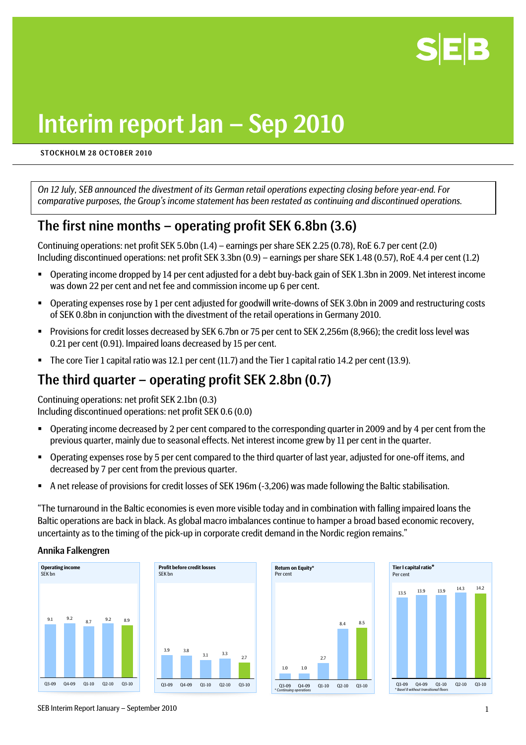

# Interim report Jan – Sep 2010

#### STOCKHOLM 28 OCTOBER 2010

*On 12 July, SEB announced the divestment of its German retail operations expecting closing before year-end. For comparative purposes, the Group's income statement has been restated as continuing and discontinued operations.* 

# The first nine months – operating profit SEK 6.8bn (3.6)

Continuing operations: net profit SEK 5.0bn (1.4) – earnings per share SEK 2.25 (0.78), RoE 6.7 per cent (2.0) Including discontinued operations: net profit SEK 3.3bn (0.9) – earnings per share SEK 1.48 (0.57), RoE 4.4 per cent (1.2)

- Operating income dropped by 14 per cent adjusted for a debt buy-back gain of SEK 1.3bn in 2009. Net interest income was down 22 per cent and net fee and commission income up 6 per cent.
- Operating expenses rose by 1 per cent adjusted for goodwill write-downs of SEK 3.0bn in 2009 and restructuring costs of SEK 0.8bn in conjunction with the divestment of the retail operations in Germany 2010.
- Provisions for credit losses decreased by SEK 6.7bn or 75 per cent to SEK 2,256m (8,966); the credit loss level was 0.21 per cent (0.91). Impaired loans decreased by 15 per cent.
- The core Tier 1 capital ratio was 12.1 per cent (11.7) and the Tier 1 capital ratio 14.2 per cent (13.9).

# The third quarter – operating profit SEK 2.8bn (0.7)

Continuing operations: net profit SEK 2.1bn (0.3) Including discontinued operations: net profit SEK 0.6 (0.0)

- Operating income decreased by 2 per cent compared to the corresponding quarter in 2009 and by 4 per cent from the previous quarter, mainly due to seasonal effects. Net interest income grew by 11 per cent in the quarter.
- Operating expenses rose by 5 per cent compared to the third quarter of last year, adjusted for one-off items, and decreased by 7 per cent from the previous quarter.
- A net release of provisions for credit losses of SEK 196m (-3,206) was made following the Baltic stabilisation.

"The turnaround in the Baltic economies is even more visible today and in combination with falling impaired loans the Baltic operations are back in black. As global macro imbalances continue to hamper a broad based economic recovery, uncertainty as to the timing of the pick-up in corporate credit demand in the Nordic region remains."

#### Annika Falkengren









SEB Interim Report January – September 2010 1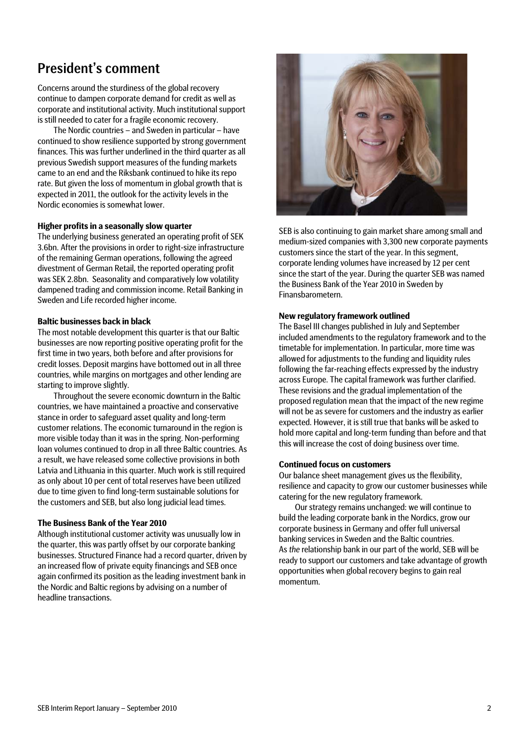# President's comment

Concerns around the sturdiness of the global recovery continue to dampen corporate demand for credit as well as corporate and institutional activity. Much institutional support is still needed to cater for a fragile economic recovery.

The Nordic countries – and Sweden in particular – have continued to show resilience supported by strong government finances. This was further underlined in the third quarter as all previous Swedish support measures of the funding markets came to an end and the Riksbank continued to hike its repo rate. But given the loss of momentum in global growth that is expected in 2011, the outlook for the activity levels in the Nordic economies is somewhat lower.

#### **Higher profits in a seasonally slow quarter**

The underlying business generated an operating profit of SEK 3.6bn. After the provisions in order to right-size infrastructure of the remaining German operations, following the agreed divestment of German Retail, the reported operating profit was SEK 2.8bn. Seasonality and comparatively low volatility dampened trading and commission income. Retail Banking in Sweden and Life recorded higher income.

#### **Baltic businesses back in black**

The most notable development this quarter is that our Baltic businesses are now reporting positive operating profit for the first time in two years, both before and after provisions for credit losses. Deposit margins have bottomed out in all three countries, while margins on mortgages and other lending are starting to improve slightly.

Throughout the severe economic downturn in the Baltic countries, we have maintained a proactive and conservative stance in order to safeguard asset quality and long-term customer relations. The economic turnaround in the region is more visible today than it was in the spring. Non-performing loan volumes continued to drop in all three Baltic countries. As a result, we have released some collective provisions in both Latvia and Lithuania in this quarter. Much work is still required as only about 10 per cent of total reserves have been utilized due to time given to find long-term sustainable solutions for the customers and SEB, but also long judicial lead times.

#### **The Business Bank of the Year 2010**

Although institutional customer activity was unusually low in the quarter, this was partly offset by our corporate banking businesses. Structured Finance had a record quarter, driven by an increased flow of private equity financings and SEB once again confirmed its position as the leading investment bank in the Nordic and Baltic regions by advising on a number of headline transactions.



SEB is also continuing to gain market share among small and medium-sized companies with 3,300 new corporate payments customers since the start of the year. In this segment, corporate lending volumes have increased by 12 per cent since the start of the year. During the quarter SEB was named the Business Bank of the Year 2010 in Sweden by Finansbarometern.

#### **New regulatory framework outlined**

The Basel III changes published in July and September included amendments to the regulatory framework and to the timetable for implementation. In particular, more time was allowed for adjustments to the funding and liquidity rules following the far-reaching effects expressed by the industry across Europe. The capital framework was further clarified. These revisions and the gradual implementation of the proposed regulation mean that the impact of the new regime will not be as severe for customers and the industry as earlier expected. However, it is still true that banks will be asked to hold more capital and long-term funding than before and that this will increase the cost of doing business over time.

#### **Continued focus on customers**

Our balance sheet management gives us the flexibility, resilience and capacity to grow our customer businesses while catering for the new regulatory framework.

Our strategy remains unchanged: we will continue to build the leading corporate bank in the Nordics, grow our corporate business in Germany and offer full universal banking services in Sweden and the Baltic countries. As *the* relationship bank in our part of the world, SEB will be ready to support our customers and take advantage of growth opportunities when global recovery begins to gain real momentum.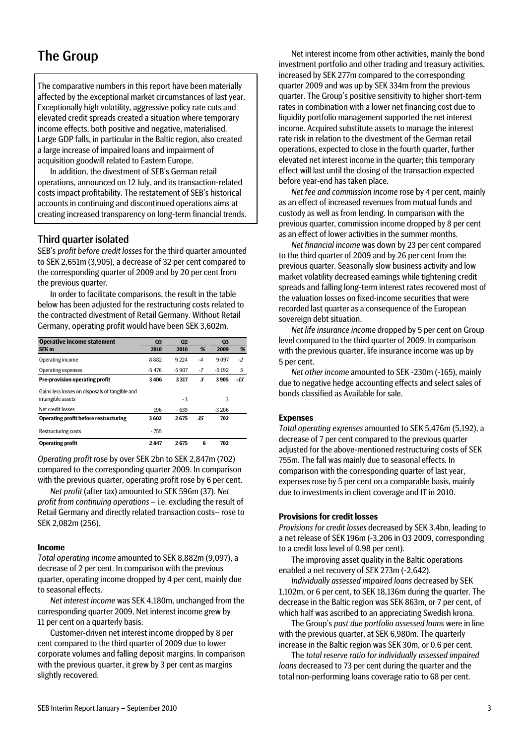# The Group

The comparative numbers in this report have been materially affected by the exceptional market circumstances of last year. Exceptionally high volatility, aggressive policy rate cuts and elevated credit spreads created a situation where temporary income effects, both positive and negative, materialised. Large GDP falls, in particular in the Baltic region, also created a large increase of impaired loans and impairment of acquisition goodwill related to Eastern Europe.

In addition, the divestment of SEB's German retail operations, announced on 12 July, and its transaction-related costs impact profitability. The restatement of SEB's historical accounts in continuing and discontinued operations aims at creating increased transparency on long-term financial trends.

### Third quarter isolated

SEB's *profit before credit losses* for the third quarter amounted to SEK 2,651m (3,905), a decrease of 32 per cent compared to the corresponding quarter of 2009 and by 20 per cent from the previous quarter.

In order to facilitate comparisons, the result in the table below has been adjusted for the restructuring costs related to the contracted divestment of Retail Germany. Without Retail Germany, operating profit would have been SEK 3,602m.

| <b>Operative income statement</b>              | Q <sub>3</sub> | Q <sub>2</sub> |      | Q <sub>3</sub> |       |
|------------------------------------------------|----------------|----------------|------|----------------|-------|
| SEK <sub>m</sub>                               | 2010           | 2010           | %    | 2009           | %     |
| Operating income                               | 8882           | 9224           | $-4$ | 9097           | $-2$  |
| Operating expenses                             | $-5476$        | $-5.907$       | $-7$ | $-5192$        | 5     |
| <b>Pre-provision operating profit</b>          | 3406           | 3317           | 3    | 3905           | $-13$ |
| Gains less losses on disposals of tangible and |                |                |      |                |       |
| intangible assets                              |                | - 3            |      | 3              |       |
| Net credit losses                              | 196            | $-639$         |      | $-3206$        |       |
| <b>Operating profit before restructuring</b>   | 3602           | 2675           | 35   | 702            |       |
| Restructuring costs                            | $-755$         |                |      |                |       |
| <b>Operating profit</b>                        | 2847           | 2675           | 6    | 702            |       |

*Operating profit rose by over SEK 2bn to SEK 2,847m (702)* compared to the corresponding quarter 2009. In comparison with the previous quarter, operating profit rose by 6 per cent.

*Net profit* (after tax) amounted to SEK 596m (37). *Net profit from continuing operations* – i.e. excluding the result of Retail Germany and directly related transaction costs– rose to SEK 2,082m (256).

#### **Income**

*Total operating income* amounted to SEK 8,882m (9,097), a decrease of 2 per cent. In comparison with the previous quarter, operating income dropped by 4 per cent, mainly due to seasonal effects.

*Net interest income* was SEK 4,180m, unchanged from the corresponding quarter 2009. Net interest income grew by 11 per cent on a quarterly basis.

Customer-driven net interest income dropped by 8 per cent compared to the third quarter of 2009 due to lower corporate volumes and falling deposit margins. In comparison with the previous quarter, it grew by 3 per cent as margins slightly recovered.

Net interest income from other activities, mainly the bond investment portfolio and other trading and treasury activities, increased by SEK 277m compared to the corresponding quarter 2009 and was up by SEK 334m from the previous quarter. The Group's positive sensitivity to higher short-term rates in combination with a lower net financing cost due to liquidity portfolio management supported the net interest income. Acquired substitute assets to manage the interest rate risk in relation to the divestment of the German retail operations, expected to close in the fourth quarter, further elevated net interest income in the quarter; this temporary effect will last until the closing of the transaction expected before year-end has taken place.

*Net fee and commission income* rose by 4 per cent, mainly as an effect of increased revenues from mutual funds and custody as well as from lending. In comparison with the previous quarter, commission income dropped by 8 per cent as an effect of lower activities in the summer months.

*Net financial income* was down by 23 per cent compared to the third quarter of 2009 and by 26 per cent from the previous quarter. Seasonally slow business activity and low market volatility decreased earnings while tightening credit spreads and falling long-term interest rates recovered most of the valuation losses on fixed-income securities that were recorded last quarter as a consequence of the European sovereign debt situation.

*Net life insurance income* dropped by 5 per cent on Group level compared to the third quarter of 2009. In comparison with the previous quarter, life insurance income was up by 5 per cent.

*Net other income* amounted to SEK -230m (-165), mainly due to negative hedge accounting effects and select sales of bonds classified as Available for sale.

#### **Expenses**

*Total operating expenses* amounted to SEK 5,476m (5,192), a decrease of 7 per cent compared to the previous quarter adjusted for the above-mentioned restructuring costs of SEK 755m. The fall was mainly due to seasonal effects. In comparison with the corresponding quarter of last year, expenses rose by 5 per cent on a comparable basis, mainly due to investments in client coverage and IT in 2010.

#### **Provisions for credit losses**

*Provisions for credit losses* decreased by SEK 3.4bn, leading to a net release of SEK 196m (-3,206 in Q3 2009, corresponding to a credit loss level of 0.98 per cent).

The improving asset quality in the Baltic operations enabled a net recovery of SEK 273m (-2,642).

*Individually assessed impaired loans* decreased by SEK 1,102m, or 6 per cent, to SEK 18,136m during the quarter. The decrease in the Baltic region was SEK 863m, or 7 per cent, of which half was ascribed to an appreciating Swedish krona.

The Group's *past due portfolio assessed loans* were in line with the previous quarter, at SEK 6,980m. The quarterly increase in the Baltic region was SEK 30m, or 0.6 per cent.

The *total reserve ratio for individually assessed impaired loans* decreased to 73 per cent during the quarter and the total non-performing loans coverage ratio to 68 per cent.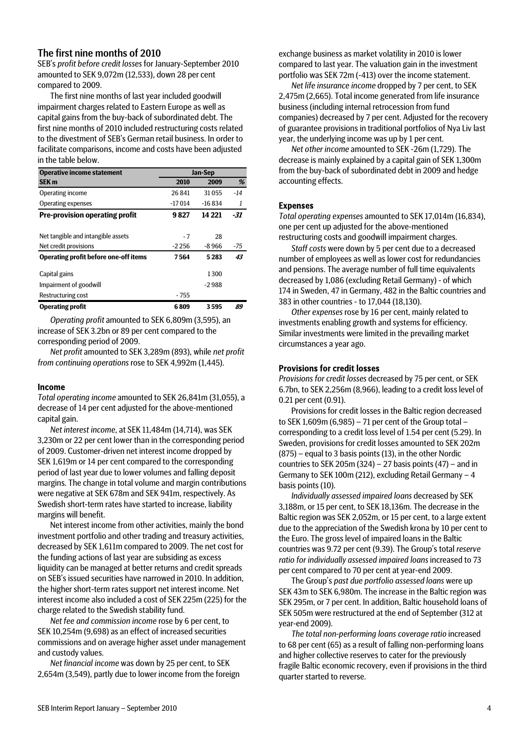### The first nine months of 2010

SEB's *profit before credit losses* for January-September 2010 amounted to SEK 9,072m (12,533), down 28 per cent compared to 2009.

The first nine months of last year included goodwill impairment charges related to Eastern Europe as well as capital gains from the buy-back of subordinated debt. The first nine months of 2010 included restructuring costs related to the divestment of SEB's German retail business. In order to facilitate comparisons, income and costs have been adjusted in the table below.

| <b>Operative income statement</b>     |         | Jan-Sep |       |
|---------------------------------------|---------|---------|-------|
| <b>SEK m</b>                          | 2010    | 2009    | %     |
| Operating income                      | 26841   | 31055   | $-14$ |
| Operating expenses                    | -17014  | -16834  | 1     |
| <b>Pre-provision operating profit</b> | 9827    | 14 221  | -31   |
| Net tangible and intangible assets    | - 7     | 28      |       |
| Net credit provisions                 | $-2256$ | -8966   | -75   |
| Operating profit before one-off items | 7564    | 5283    | 43    |
| Capital gains                         |         | 1300    |       |
| Impairment of goodwill                |         | -2988   |       |
| Restructuring cost                    | - 755   |         |       |
| <b>Operating profit</b>               | 6809    | 3595    | 89    |

*Operating profit* amounted to SEK 6,809m (3,595), an increase of SEK 3.2bn or 89 per cent compared to the corresponding period of 2009.

*Net profit* amounted to SEK 3,289m (893), while *net profit from continuing operations* rose to SEK 4,992m (1,445).

#### Income

*Total operating income* amounted to SEK 26,841m (31,055), a decrease of 14 per cent adjusted for the above-mentioned capital gain.

*Net interest income*, at SEK 11,484m (14,714), was SEK 3,230m or 22 per cent lower than in the corresponding period of 2009. Customer-driven net interest income dropped by SEK 1,619m or 14 per cent compared to the corresponding period of last year due to lower volumes and falling deposit margins. The change in total volume and margin contributions were negative at SEK 678m and SEK 941m, respectively. As Swedish short-term rates have started to increase, liability margins will benefit.

Net interest income from other activities, mainly the bond investment portfolio and other trading and treasury activities, decreased by SEK 1,611m compared to 2009. The net cost for the funding actions of last year are subsiding as excess liquidity can be managed at better returns and credit spreads on SEB's issued securities have narrowed in 2010. In addition, the higher short-term rates support net interest income. Net interest income also included a cost of SEK 225m (225) for the charge related to the Swedish stability fund.

*Net fee and commission income* rose by 6 per cent, to SEK 10,254m (9,698) as an effect of increased securities commissions and on average higher asset under management and custody values.

*Net financial income* was down by 25 per cent, to SEK 2,654m (3,549), partly due to lower income from the foreign exchange business as market volatility in 2010 is lower compared to last year. The valuation gain in the investment portfolio was SEK 72m (-413) over the income statement.

*Net life insurance income* dropped by 7 per cent, to SEK 2,475m (2,665). Total income generated from life insurance business (including internal retrocession from fund companies) decreased by 7 per cent. Adjusted for the recovery of guarantee provisions in traditional portfolios of Nya Liv last year, the underlying income was up by 1 per cent.

*Net other income* amounted to SEK -26m (1,729). The decrease is mainly explained by a capital gain of SEK 1,300m from the buy-back of subordinated debt in 2009 and hedge accounting effects.

#### Expenses

*Total operating expenses* amounted to SEK 17,014m (16,834), one per cent up adjusted for the above-mentioned restructuring costs and goodwill impairment charges.

*Staff costs* were down by 5 per cent due to a decreased number of employees as well as lower cost for redundancies and pensions. The average number of full time equivalents decreased by 1,086 (excluding Retail Germany) - of which 174 in Sweden, 47 in Germany, 482 in the Baltic countries and 383 in other countries - to 17,044 (18,130).

*Other expenses* rose by 16 per cent, mainly related to investments enabling growth and systems for efficiency. Similar investments were limited in the prevailing market circumstances a year ago.

#### Provisions for credit losses

*Provisions for credit losses* decreased by 75 per cent, or SEK 6.7bn, to SEK 2,256m (8,966), leading to a credit loss level of 0.21 per cent (0.91).

Provisions for credit losses in the Baltic region decreased to SEK 1,609m (6,985) – 71 per cent of the Group total – corresponding to a credit loss level of 1.54 per cent (5.29). In Sweden, provisions for credit losses amounted to SEK 202m (875) – equal to 3 basis points (13), in the other Nordic countries to SEK 205m (324) – 27 basis points (47) – and in Germany to SEK 100m (212), excluding Retail Germany – 4 basis points (10).

*Individually assessed impaired loans* decreased by SEK 3,188m, or 15 per cent, to SEK 18,136m. The decrease in the Baltic region was SEK 2,052m, or 15 per cent, to a large extent due to the appreciation of the Swedish krona by 10 per cent to the Euro. The gross level of impaired loans in the Baltic countries was 9.72 per cent (9.39). The Group's total *reserve ratio for individually assessed impaired loans* increased to 73 per cent compared to 70 per cent at year-end 2009.

The Group's *past due portfolio assessed loans* were up SEK 43m to SEK 6,980m. The increase in the Baltic region was SEK 295m, or 7 per cent. In addition, Baltic household loans of SEK 505m were restructured at the end of September (312 at year-end 2009).

*The total non-performing loans coverage ratio* increased to 68 per cent (65) as a result of falling non-performing loans and higher collective reserves to cater for the previously fragile Baltic economic recovery, even if provisions in the third quarter started to reverse.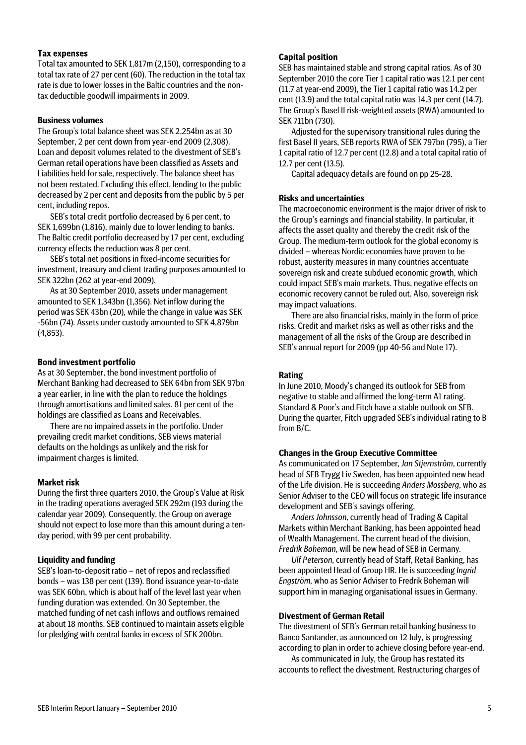#### Tax expenses

Total tax amounted to SEK 1,817m (2,150), corresponding to a total tax rate of 27 per cent (60). The reduction in the total tax rate is due to lower losses in the Baltic countries and the nontax deductible goodwill impairments in 2009.

#### **Business volumes**

The Group's total balance sheet was SEK 2,254bn as at 30 September, 2 per cent down from year-end 2009 (2,308). Loan and deposit volumes related to the divestment of SEB's German retail operations have been classified as Assets and Liabilities held for sale, respectively. The balance sheet has not been restated. Excluding this effect, lending to the public decreased by 2 per cent and deposits from the public by 5 per cent, including repos.

SEB's total credit portfolio decreased by 6 per cent, to SEK 1,699bn (1,816), mainly due to lower lending to banks. The Baltic credit portfolio decreased by 17 per cent, excluding currency effects the reduction was 8 per cent.

SEB's total net positions in fixed-income securities for investment, treasury and client trading purposes amounted to SEK 322bn (262 at year-end 2009).

As at 30 September 2010, assets under management amounted to SEK 1,343bn (1,356). Net inflow during the period was SEK 43bn (20), while the change in value was SEK -56bn (74). Assets under custody amounted to SEK 4,879bn (4,853).

#### Bond investment portfolio

As at 30 September, the bond investment portfolio of Merchant Banking had decreased to SEK 64bn from SEK 97bn a year earlier, in line with the plan to reduce the holdings through amortisations and limited sales. 81 per cent of the holdings are classified as Loans and Receivables.

There are no impaired assets in the portfolio. Under prevailing credit market conditions, SEB views material defaults on the holdings as unlikely and the risk for impairment charges is limited.

#### Market risk

During the first three quarters 2010, the Group's Value at Risk in the trading operations averaged SEK 292m (193 during the calendar year 2009). Consequently, the Group on average should not expect to lose more than this amount during a tenday period, with 99 per cent probability.

#### **Liquidity and funding**

SEB's loan-to-deposit ratio – net of repos and reclassified bonds – was 138 per cent (139). Bond issuance year-to-date was SEK 60bn, which is about half of the level last year when funding duration was extended. On 30 September, the matched funding of net cash inflows and outflows remained at about 18 months. SEB continued to maintain assets eligible for pledging with central banks in excess of SEK 200bn.

#### Capital position

SEB has maintained stable and strong capital ratios. As of 30 September 2010 the core Tier 1 capital ratio was 12.1 per cent (11.7 at year-end 2009), the Tier 1 capital ratio was 14.2 per cent (13.9) and the total capital ratio was 14.3 per cent (14.7). The Group's Basel II risk-weighted assets (RWA) amounted to SEK 711bn (730).

Adjusted for the supervisory transitional rules during the first Basel II years, SEB reports RWA of SEK 797bn (795), a Tier 1 capital ratio of 12.7 per cent (12.8) and a total capital ratio of 12.7 per cent (13.5).

Capital adequacy details are found on pp 25-28.

#### **Risks and uncertainties**

The macroeconomic environment is the major driver of risk to the Group's earnings and financial stability. In particular, it affects the asset quality and thereby the credit risk of the Group. The medium-term outlook for the global economy is divided – whereas Nordic economies have proven to be robust, austerity measures in many countries accentuate sovereign risk and create subdued economic growth, which could impact SEB's main markets. Thus, negative effects on economic recovery cannot be ruled out. Also, sovereign risk may impact valuations.

There are also financial risks, mainly in the form of price risks. Credit and market risks as well as other risks and the management of all the risks of the Group are described in SEB's annual report for 2009 (pp 40-56 and Note 17).

#### **Rating**

In June 2010, Moody's changed its outlook for SEB from negative to stable and affirmed the long-term A1 rating. Standard & Poor's and Fitch have a stable outlook on SEB. During the quarter, Fitch upgraded SEB's individual rating to B from B/C.

#### **Changes in the Group Executive Committee**

As communicated on 17 September, *Jan Stjernström*, currently head of SEB Trygg Liv Sweden, has been appointed new head of the Life division. He is succeeding *Anders Mossberg*, who as Senior Adviser to the CEO will focus on strategic life insurance development and SEB's savings offering.

*Anders Johnsson,* currently head of Trading & Capital Markets within Merchant Banking, has been appointed head of Wealth Management. The current head of the division, *Fredrik Boheman*, will be new head of SEB in Germany.

*Ulf Peterson*, currently head of Staff, Retail Banking, has been appointed Head of Group HR. He is succeeding *Ingrid Engström,* who as Senior Adviser to Fredrik Boheman will support him in managing organisational issues in Germany.

#### **Divestment of German Retail**

The divestment of SEB's German retail banking business to Banco Santander, as announced on 12 July, is progressing according to plan in order to achieve closing before year-end.

As communicated in July, the Group has restated its accounts to reflect the divestment. Restructuring charges of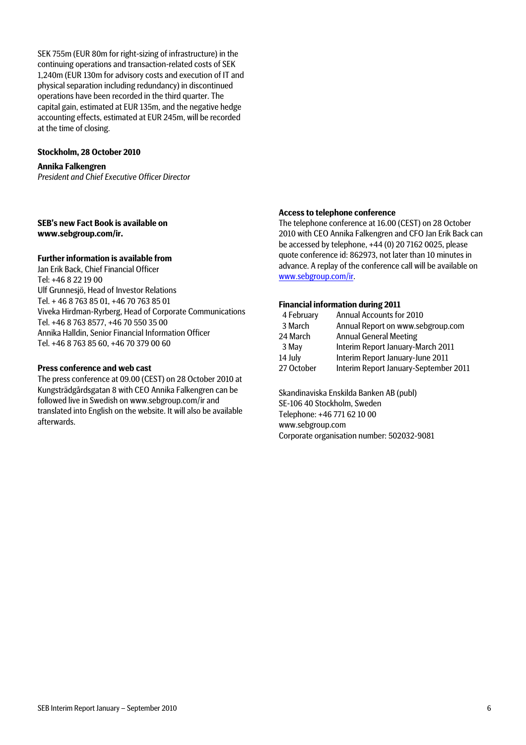SEK 755m (EUR 80m for right-sizing of infrastructure) in the continuing operations and transaction-related costs of SEK 1,240m (EUR 130m for advisory costs and execution of IT and physical separation including redundancy) in discontinued operations have been recorded in the third quarter. The capital gain, estimated at EUR 135m, and the negative hedge accounting effects, estimated at EUR 245m, will be recorded at the time of closing.

#### **Stockholm, 28 October 2010**

**Annika Falkengren**  *President and Chief Executive Officer Director* 

#### **SEB's new Fact Book is available on www.sebgroup.com/ir.**

#### **Further information is available from**

Jan Erik Back, Chief Financial Officer Tel: +46 8 22 19 00 Ulf Grunnesjö, Head of Investor Relations Tel. + 46 8 763 85 01, +46 70 763 85 01 Viveka Hirdman-Ryrberg, Head of Corporate Communications Tel. +46 8 763 8577, +46 70 550 35 00 Annika Halldin, Senior Financial Information Officer Tel. +46 8 763 85 60, +46 70 379 00 60

#### **Press conference and web cast**

The press conference at 09.00 (CEST) on 28 October 2010 at Kungsträdgårdsgatan 8 with CEO Annika Falkengren can be followed live in Swedish on www.sebgroup.com/ir and translated into English on the website. It will also be available afterwards.

#### **Access to telephone conference**

The telephone conference at 16.00 (CEST) on 28 October 2010 with CEO Annika Falkengren and CFO Jan Erik Back can be accessed by telephone, +44 (0) 20 7162 0025, please quote conference id: 862973, not later than 10 minutes in advance. A replay of the conference call will be available on www.sebgroup.com/ir.

#### **Financial information during 2011**

| 4 February | Annual Accounts for 2010              |
|------------|---------------------------------------|
| 3 March    | Annual Report on www.sebgroup.com     |
| 24 March   | <b>Annual General Meeting</b>         |
| 3 May      | Interim Report January-March 2011     |
| 14 July    | Interim Report January-June 2011      |
| 27 October | Interim Report January-September 2011 |

Skandinaviska Enskilda Banken AB (publ) SE-106 40 Stockholm, Sweden Telephone: +46 771 62 10 00 www.sebgroup.com Corporate organisation number: 502032-9081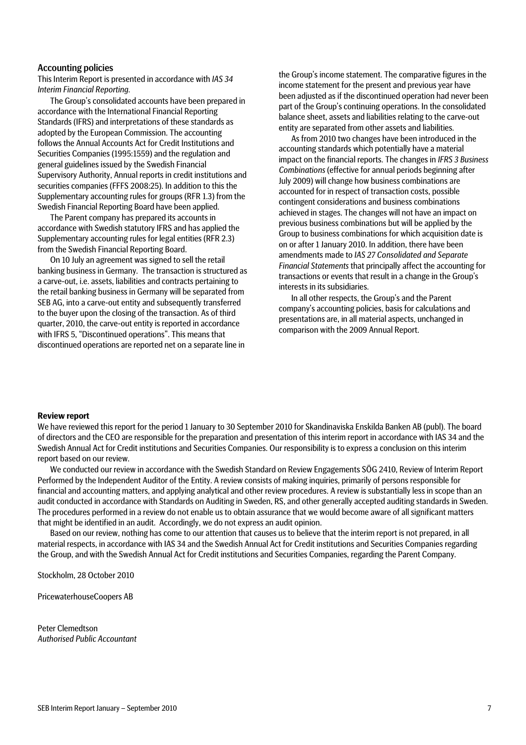#### Accounting policies

This Interim Report is presented in accordance with *IAS 34 Interim Financial Reporting*.

The Group's consolidated accounts have been prepared in accordance with the International Financial Reporting Standards (IFRS) and interpretations of these standards as adopted by the European Commission. The accounting follows the Annual Accounts Act for Credit Institutions and Securities Companies (1995:1559) and the regulation and general guidelines issued by the Swedish Financial Supervisory Authority, Annual reports in credit institutions and securities companies (FFFS 2008:25). In addition to this the Supplementary accounting rules for groups (RFR 1.3) from the Swedish Financial Reporting Board have been applied.

The Parent company has prepared its accounts in accordance with Swedish statutory IFRS and has applied the Supplementary accounting rules for legal entities (RFR 2.3) from the Swedish Financial Reporting Board.

On 10 July an agreement was signed to sell the retail banking business in Germany. The transaction is structured as a carve-out, i.e. assets, liabilities and contracts pertaining to the retail banking business in Germany will be separated from SEB AG, into a carve-out entity and subsequently transferred to the buyer upon the closing of the transaction. As of third quarter, 2010, the carve-out entity is reported in accordance with IFRS 5, "Discontinued operations". This means that discontinued operations are reported net on a separate line in

the Group's income statement. The comparative figures in the income statement for the present and previous year have been adjusted as if the discontinued operation had never been part of the Group's continuing operations. In the consolidated balance sheet, assets and liabilities relating to the carve-out entity are separated from other assets and liabilities.

As from 2010 two changes have been introduced in the accounting standards which potentially have a material impact on the financial reports. The changes in *IFRS 3 Business Combinations* (effective for annual periods beginning after July 2009) will change how business combinations are accounted for in respect of transaction costs, possible contingent considerations and business combinations achieved in stages. The changes will not have an impact on previous business combinations but will be applied by the Group to business combinations for which acquisition date is on or after 1 January 2010. In addition, there have been amendments made to *IAS 27 Consolidated and Separate Financial Statements* that principally affect the accounting for transactions or events that result in a change in the Group's interests in its subsidiaries.

In all other respects, the Group's and the Parent company's accounting policies, basis for calculations and presentations are, in all material aspects, unchanged in comparison with the 2009 Annual Report.

#### **Review report**

We have reviewed this report for the period 1 January to 30 September 2010 for Skandinaviska Enskilda Banken AB (publ). The board of directors and the CEO are responsible for the preparation and presentation of this interim report in accordance with IAS 34 and the Swedish Annual Act for Credit institutions and Securities Companies. Our responsibility is to express a conclusion on this interim report based on our review.

We conducted our review in accordance with the Swedish Standard on Review Engagements SÖG 2410, Review of Interim Report Performed by the Independent Auditor of the Entity. A review consists of making inquiries, primarily of persons responsible for financial and accounting matters, and applying analytical and other review procedures. A review is substantially less in scope than an audit conducted in accordance with Standards on Auditing in Sweden, RS, and other generally accepted auditing standards in Sweden. The procedures performed in a review do not enable us to obtain assurance that we would become aware of all significant matters that might be identified in an audit. Accordingly, we do not express an audit opinion.

Based on our review, nothing has come to our attention that causes us to believe that the interim report is not prepared, in all material respects, in accordance with IAS 34 and the Swedish Annual Act for Credit institutions and Securities Companies regarding the Group, and with the Swedish Annual Act for Credit institutions and Securities Companies, regarding the Parent Company.

Stockholm, 28 October 2010

PricewaterhouseCoopers AB

Peter Clemedtson *Authorised Public Accountant*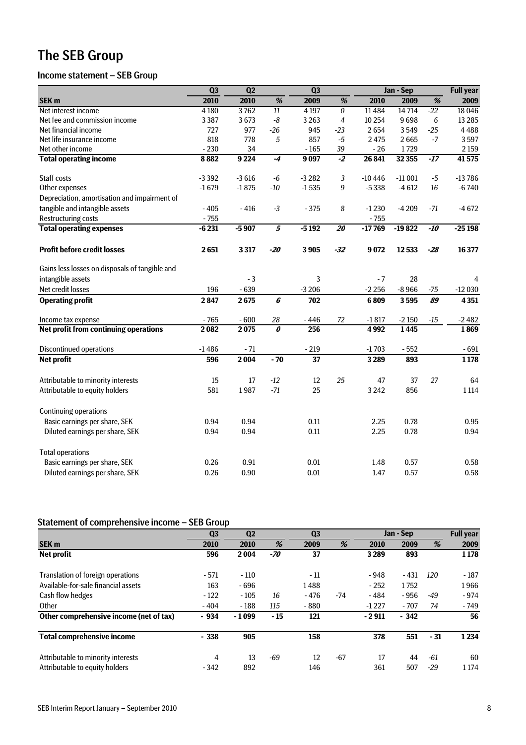# The SEB Group

# Income statement – SEB Group

|                                                | Q <sub>3</sub><br>$\overline{Q2}$ |         |                                  | $\overline{Q}$  |                                  | Jan - Sep | <b>Full</b> year |       |          |
|------------------------------------------------|-----------------------------------|---------|----------------------------------|-----------------|----------------------------------|-----------|------------------|-------|----------|
| SEK <sub>m</sub>                               | 2010                              | 2010    | $\overline{\%}$                  | 2009            | %                                | 2010      | 2009             | %     | 2009     |
| Net interest income                            | 4 1 8 0                           | 3762    | 11                               | 4 1 9 7         | $\overline{\boldsymbol{\theta}}$ | 11 4 8 4  | 14714            | $-22$ | 18 04 6  |
| Net fee and commission income                  | 3387                              | 3673    | $\mbox{-}8$                      | 3 2 6 3         | $\overline{4}$                   | 10 254    | 9698             | 6     | 13 2 8 5 |
| Net financial income                           | 727                               | 977     | $-26$                            | 945             | $-23$                            | 2654      | 3549             | $-25$ | 4488     |
| Net life insurance income                      | 818                               | 778     | 5                                | 857             | $-5$                             | 2475      | 2665             | $-7$  | 3597     |
| Net other income                               | $-230$                            | 34      |                                  | $-165$          | 39                               | $-26$     | 1729             |       | 2 1 5 9  |
| <b>Total operating income</b>                  | 8882                              | 9 2 2 4 | $-4$                             | 9097            | $-2$                             | 26 841    | 32 355           | $-17$ | 41575    |
| Staff costs                                    | $-3392$                           | $-3616$ | $-6$                             | $-3282$         | 3                                | $-10446$  | $-11001$         | $-5$  | $-13786$ |
| Other expenses                                 | $-1679$                           | $-1875$ | $-10$                            | $-1535$         | 9                                | $-5338$   | $-4612$          | 16    | $-6740$  |
| Depreciation, amortisation and impairment of   |                                   |         |                                  |                 |                                  |           |                  |       |          |
| tangible and intangible assets                 | $-405$                            | $-416$  | $-3$                             | $-375$          | 8                                | $-1230$   | $-4209$          | -71   | $-4672$  |
| <b>Restructuring costs</b>                     | $-755$                            |         |                                  |                 |                                  | $-755$    |                  |       |          |
| <b>Total operating expenses</b>                | $-6231$                           | $-5907$ | $\overline{\mathbf{5}}$          | $-5192$         | 20                               | $-17769$  | $-19822$         | $-10$ | $-25198$ |
| <b>Profit before credit losses</b>             | 2651                              | 3317    | $-20$                            | 3905            | $-32$                            | 9072      | 12533            | $-28$ | 16 377   |
| Gains less losses on disposals of tangible and |                                   |         |                                  |                 |                                  |           |                  |       |          |
| intangible assets                              |                                   | $-3$    |                                  | 3               |                                  | $-7$      | 28               |       | 4        |
| Net credit losses                              | 196                               | $-639$  |                                  | $-3206$         |                                  | $-2256$   | $-8966$          | $-75$ | $-12030$ |
| <b>Operating profit</b>                        | 2847                              | 2675    | 6                                | 702             |                                  | 6809      | 3595             | 89    | 4 3 5 1  |
| Income tax expense                             | $-765$                            | $-600$  | 28                               | $-446$          | 72                               | $-1817$   | $-2150$          | $-15$ | $-2482$  |
| Net profit from continuing operations          | 2082                              | 2075    | $\overline{\boldsymbol{\theta}}$ | 256             |                                  | 4992      | 1445             |       | 1869     |
| <b>Discontinued operations</b>                 | $-1486$                           | $-71$   |                                  | $-219$          |                                  | $-1703$   | $-552$           |       | $-691$   |
| <b>Net profit</b>                              | 596                               | 2 0 0 4 | $-70$                            | $\overline{37}$ |                                  | 3289      | 893              |       | 1178     |
| Attributable to minority interests             | 15                                | 17      | $-12$                            | 12              | 25                               | 47        | 37               | 27    | 64       |
| Attributable to equity holders                 | 581                               | 1987    | $-71$                            | 25              |                                  | 3 2 4 2   | 856              |       | 1 1 1 4  |
| <b>Continuing operations</b>                   |                                   |         |                                  |                 |                                  |           |                  |       |          |
| Basic earnings per share, SEK                  | 0.94                              | 0.94    |                                  | 0.11            |                                  | 2.25      | 0.78             |       | 0.95     |
| Diluted earnings per share, SEK                | 0.94                              | 0.94    |                                  | 0.11            |                                  | 2.25      | 0.78             |       | 0.94     |
| <b>Total operations</b>                        |                                   |         |                                  |                 |                                  |           |                  |       |          |
| Basic earnings per share, SEK                  | 0.26                              | 0.91    |                                  | 0.01            |                                  | 1.48      | 0.57             |       | 0.58     |
| Diluted earnings per share, SEK                | 0.26                              | 0.90    |                                  | 0.01            |                                  | 1.47      | 0.57             |       | 0.58     |

# Statement of comprehensive income – SEB Group

|                                         | Q <sub>3</sub> | Q <sub>2</sub> |      | Q <sub>3</sub> |       |         | Jan - Sep |       | <b>Full year</b> |
|-----------------------------------------|----------------|----------------|------|----------------|-------|---------|-----------|-------|------------------|
| <b>SEK m</b>                            | 2010           | 2010           | %    | 2009           | %     | 2010    | 2009      | %     | 2009             |
| <b>Net profit</b>                       | 596            | 2004           | -70  | 37             |       | 3 2 8 9 | 893       |       | 1 1 7 8          |
| Translation of foreign operations       | $-571$         | $-110$         |      | - 11           |       | $-948$  | $-431$    | 120   | $-187$           |
| Available-for-sale financial assets     | 163            | $-696$         |      | 1488           |       | $-252$  | 1752      |       | 1966             |
| Cash flow hedges                        | $-122$         | $-105$         | 16   | $-476$         | -74   | - 484   | - 956     | -49   | $-974$           |
| Other                                   | $-404$         | $-188$         | 115  | $-880$         |       | $-1227$ | $-707$    | 74    | $-749$           |
| Other comprehensive income (net of tax) | - 934          | $-1099$        | - 15 | 121            |       | $-2911$ | $-342$    |       | 56               |
| <b>Total comprehensive income</b>       | $-338$         | 905            |      | 158            |       | 378     | 551       | $-31$ | 1234             |
| Attributable to minority interests      | 4              | 13             | -69  | 12             | $-67$ | 17      | 44        | -61   | 60               |
| Attributable to equity holders          | $-342$         | 892            |      | 146            |       | 361     | 507       | $-29$ | 1 1 7 4          |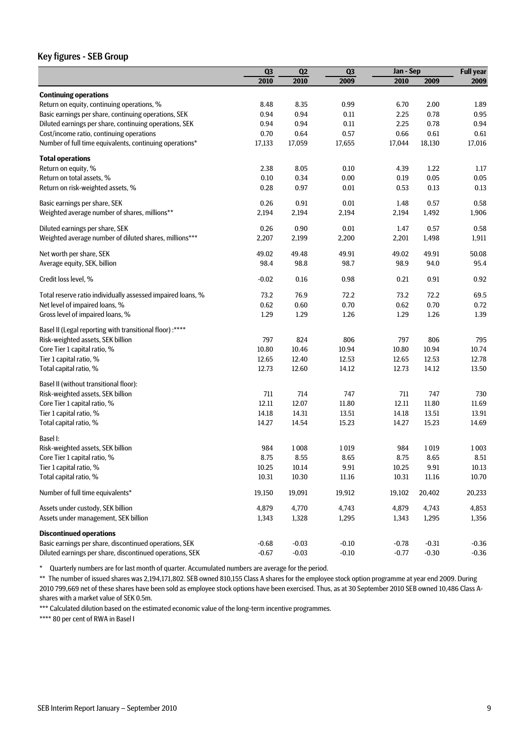### Key figures - SEB Group

|                                                             | Q3      | Q2      | Q3       | Jan - Sep |         | <b>Full year</b> |
|-------------------------------------------------------------|---------|---------|----------|-----------|---------|------------------|
|                                                             | 2010    | 2010    | 2009     | 2010      | 2009    | 2009             |
| <b>Continuing operations</b>                                |         |         |          |           |         |                  |
| Return on equity, continuing operations, %                  | 8.48    | 8.35    | 0.99     | 6.70      | 2.00    | 1.89             |
| Basic earnings per share, continuing operations, SEK        | 0.94    | 0.94    | 0.11     | 2.25      | 0.78    | 0.95             |
| Diluted earnings per share, continuing operations, SEK      | 0.94    | 0.94    | 0.11     | 2.25      | 0.78    | 0.94             |
| Cost/income ratio, continuing operations                    | 0.70    | 0.64    | 0.57     | 0.66      | 0.61    | 0.61             |
| Number of full time equivalents, continuing operations*     | 17,133  | 17,059  | 17,655   | 17,044    | 18,130  | 17,016           |
| <b>Total operations</b>                                     |         |         |          |           |         |                  |
| Return on equity, %                                         | 2.38    | 8.05    | 0.10     | 4.39      | 1.22    | 1.17             |
| Return on total assets, %                                   | 0.10    | 0.34    | 0.00     | 0.19      | 0.05    | 0.05             |
| Return on risk-weighted assets, %                           | 0.28    | 0.97    | 0.01     | 0.53      | 0.13    | 0.13             |
| Basic earnings per share, SEK                               | 0.26    | 0.91    | 0.01     | 1.48      | 0.57    | 0.58             |
| Weighted average number of shares, millions**               | 2,194   | 2,194   | 2,194    | 2,194     | 1,492   | 1,906            |
| Diluted earnings per share, SEK                             | 0.26    | 0.90    | 0.01     | 1.47      | 0.57    | 0.58             |
| Weighted average number of diluted shares, millions***      | 2,207   | 2,199   | 2,200    | 2,201     | 1,498   | 1,911            |
| Net worth per share, SEK                                    | 49.02   | 49.48   | 49.91    | 49.02     | 49.91   | 50.08            |
| Average equity, SEK, billion                                | 98.4    | 98.8    | 98.7     | 98.9      | 94.0    | 95.4             |
| Credit loss level, %                                        | $-0.02$ | 0.16    | 0.98     | 0.21      | 0.91    | 0.92             |
| Total reserve ratio individually assessed impaired loans, % | 73.2    | 76.9    | 72.2     | 73.2      | 72.2    | 69.5             |
| Net level of impaired loans, %                              | 0.62    | 0.60    | 0.70     | 0.62      | 0.70    | 0.72             |
| Gross level of impaired loans, %                            | 1.29    | 1.29    | 1.26     | 1.29      | 1.26    | 1.39             |
| Basel II (Legal reporting with transitional floor) :****    |         |         |          |           |         |                  |
| Risk-weighted assets, SEK billion                           | 797     | 824     | 806      | 797       | 806     | 795              |
| Core Tier 1 capital ratio, %                                | 10.80   | 10.46   | 10.94    | 10.80     | 10.94   | 10.74            |
| Tier 1 capital ratio, %                                     | 12.65   | 12.40   | 12.53    | 12.65     | 12.53   | 12.78            |
| Total capital ratio, %                                      | 12.73   | 12.60   | 14.12    | 12.73     | 14.12   | 13.50            |
| Basel II (without transitional floor):                      |         |         |          |           |         |                  |
| Risk-weighted assets, SEK billion                           | 711     | 714     | 747      | 711       | 747     | 730              |
| Core Tier 1 capital ratio, %                                | 12.11   | 12.07   | 11.80    | 12.11     | 11.80   | 11.69            |
| Tier 1 capital ratio, %                                     | 14.18   | 14.31   | 13.51    | 14.18     | 13.51   | 13.91            |
| Total capital ratio, %                                      | 14.27   | 14.54   | 15.23    | 14.27     | 15.23   | 14.69            |
| Basel I:                                                    |         |         |          |           |         |                  |
| Risk-weighted assets, SEK billion                           | 984     | 1008    | 1019     | 984       | 1019    | 1003             |
| Core Tier 1 capital ratio, %                                | 8.75    | 8.55    | 8.65     | 8.75      | 8.65    | 8.51             |
| Tier 1 capital ratio, %                                     | 10.25   | 10.14   | $9.91\,$ | 10.25     | 9.91    | 10.13            |
| Total capital ratio, %                                      | 10.31   | 10.30   | 11.16    | 10.31     | 11.16   | 10.70            |
| Number of full time equivalents*                            | 19,150  | 19,091  | 19,912   | 19,102    | 20,402  | 20,233           |
| Assets under custody, SEK billion                           | 4,879   | 4,770   | 4,743    | 4,879     | 4,743   | 4,853            |
| Assets under management, SEK billion                        | 1,343   | 1,328   | 1,295    | 1,343     | 1,295   | 1,356            |
| <b>Discontinued operations</b>                              |         |         |          |           |         |                  |
| Basic earnings per share, discontinued operations, SEK      | $-0.68$ | $-0.03$ | $-0.10$  | $-0.78$   | $-0.31$ | $-0.36$          |
| Diluted earnings per share, discontinued operations, SEK    | $-0.67$ | $-0.03$ | $-0.10$  | $-0.77$   | $-0.30$ | $-0.36$          |

\* Quarterly numbers are for last month of quarter. Accumulated numbers are average for the period.

\*\* The number of issued shares was 2,194,171,802. SEB owned 810,155 Class A shares for the employee stock option programme at year end 2009. During 2010 799,669 net of these shares have been sold as employee stock options have been exercised. Thus, as at 30 September 2010 SEB owned 10,486 Class Ashares with a market value of SEK 0.5m.

\*\*\* Calculated dilution based on the estimated economic value of the long-term incentive programmes.

\*\*\*\* 80 per cent of RWA in Basel I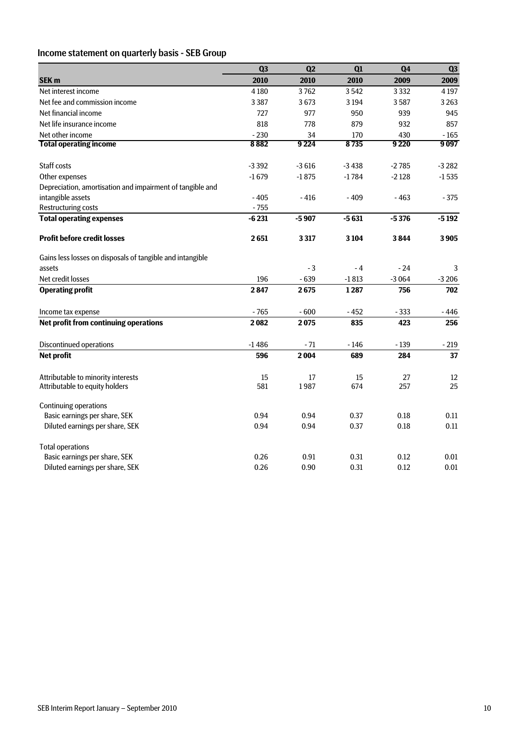### Income statement on quarterly basis - SEB Group

|                                                           | Q <sub>3</sub> | Q2      | Q1      | Q <sub>4</sub> | Q3      |
|-----------------------------------------------------------|----------------|---------|---------|----------------|---------|
| SEK <sub>m</sub>                                          | 2010           | 2010    | 2010    | 2009           | 2009    |
| Net interest income                                       | 4 1 8 0        | 3762    | 3542    | 3 3 3 2        | 4 1 9 7 |
| Net fee and commission income                             | 3 3 8 7        | 3673    | 3194    | 3587           | 3 2 6 3 |
| Net financial income                                      | 727            | 977     | 950     | 939            | 945     |
| Net life insurance income                                 | 818            | 778     | 879     | 932            | 857     |
| Net other income                                          | $-230$         | 34      | 170     | 430            | $-165$  |
| <b>Total operating income</b>                             | 8882           | 9224    | 8735    | 9 2 2 0        | 9097    |
|                                                           |                |         |         |                |         |
| <b>Staff costs</b>                                        | $-3392$        | $-3616$ | $-3438$ | $-2785$        | $-3282$ |
| Other expenses                                            | $-1679$        | $-1875$ | $-1784$ | $-2128$        | $-1535$ |
| Depreciation, amortisation and impairment of tangible and |                |         |         |                |         |
| intangible assets                                         | $-405$         | $-416$  | $-409$  | $-463$         | $-375$  |
| <b>Restructuring costs</b>                                | $-755$         |         |         |                |         |
| <b>Total operating expenses</b>                           | $-6231$        | $-5907$ | $-5631$ | $-5376$        | $-5192$ |
| <b>Profit before credit losses</b>                        | 2651           | 3 3 1 7 | 3104    | 3844           | 3905    |
|                                                           |                |         |         |                |         |
| Gains less losses on disposals of tangible and intangible |                |         |         |                |         |
| assets                                                    |                | $-3$    | $-4$    | $-24$          | 3       |
| Net credit losses                                         | 196            | $-639$  | $-1813$ | $-3064$        | $-3206$ |
| <b>Operating profit</b>                                   | 2847           | 2675    | 1287    | 756            | 702     |
| Income tax expense                                        | $-765$         | $-600$  | $-452$  | $-333$         | - 446   |
| Net profit from continuing operations                     | 2082           | 2075    | 835     | 423            | 256     |
| <b>Discontinued operations</b>                            | $-1486$        | $-71$   | $-146$  | $-139$         | $-219$  |
| <b>Net profit</b>                                         | 596            | 2004    | 689     | 284            | 37      |
|                                                           |                |         |         |                |         |
| Attributable to minority interests                        | 15             | 17      | 15      | 27             | 12      |
| Attributable to equity holders                            | 581            | 1987    | 674     | 257            | 25      |
| <b>Continuing operations</b>                              |                |         |         |                |         |
| Basic earnings per share, SEK                             | 0.94           | 0.94    | 0.37    | 0.18           | 0.11    |
| Diluted earnings per share, SEK                           | 0.94           | 0.94    | 0.37    | 0.18           | 0.11    |
| <b>Total operations</b>                                   |                |         |         |                |         |
| Basic earnings per share, SEK                             | 0.26           | 0.91    | 0.31    | 0.12           | 0.01    |
| Diluted earnings per share, SEK                           | 0.26           | 0.90    | 0.31    | 0.12           | 0.01    |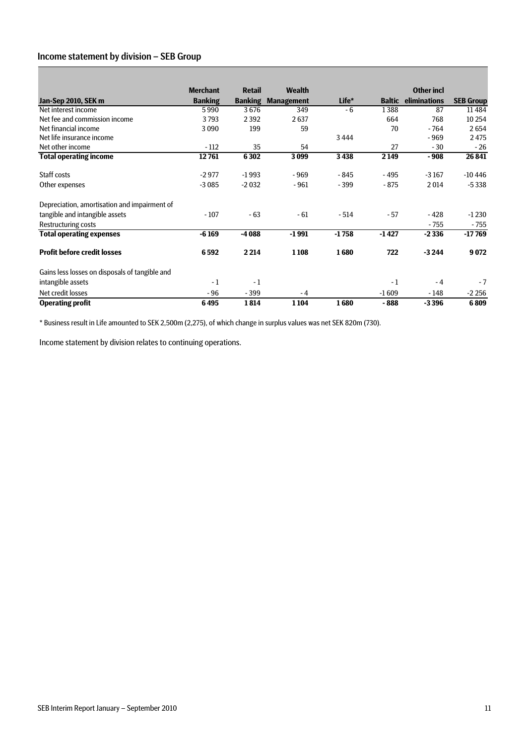### Income statement by division – SEB Group

|                                                | <b>Merchant</b> | <b>Retail</b>  | <b>Wealth</b>     |         |               | <b>Other incl</b> |                  |
|------------------------------------------------|-----------------|----------------|-------------------|---------|---------------|-------------------|------------------|
| Jan-Sep 2010, SEK m                            | <b>Banking</b>  | <b>Banking</b> | <b>Management</b> | Life*   | <b>Baltic</b> | eliminations      | <b>SEB Group</b> |
| Net interest income                            | 5990            | 3676           | 349               | - 6     | 1388          | 87                | 11484            |
| Net fee and commission income                  | 3793            | 2392           | 2637              |         | 664           | 768               | 10 254           |
| Net financial income                           | 3090            | 199            | 59                |         | 70            | $-764$            | 2654             |
| Net life insurance income                      |                 |                |                   | 3444    |               | $-969$            | 2475             |
| Net other income                               | $-112$          | 35             | 54                |         | 27            | $-30$             | $-26$            |
| <b>Total operating income</b>                  | 12761           | 6302           | 3099              | 3438    | 2 1 4 9       | $-908$            | 26 841           |
| Staff costs                                    | $-2977$         | $-1993$        | $-969$            | $-845$  | $-495$        | $-3167$           | $-10446$         |
| Other expenses                                 | $-3085$         | $-2032$        | $-961$            | $-399$  | $-875$        | 2014              | $-5338$          |
| Depreciation, amortisation and impairment of   |                 |                |                   |         |               |                   |                  |
| tangible and intangible assets                 | $-107$          | $-63$          | $-61$             | $-514$  | $-57$         | $-428$            | $-1230$          |
| Restructuring costs                            |                 |                |                   |         |               | $-755$            | $-755$           |
| <b>Total operating expenses</b>                | $-6169$         | $-4088$        | $-1991$           | $-1758$ | $-1427$       | $-2336$           | $-17769$         |
| <b>Profit before credit losses</b>             | 6592            | 2 2 1 4        | 1 1 0 8           | 1680    | 722           | $-3244$           | 9072             |
| Gains less losses on disposals of tangible and |                 |                |                   |         |               |                   |                  |
| intangible assets                              | $-1$            | $-1$           |                   |         | $-1$          | $-4$              | $-7$             |
| Net credit losses                              | $-96$           | $-399$         | - 4               |         | $-1609$       | - 148             | $-2256$          |
| Operating profit                               | 6495            | 1814           | 1104              | 1680    | $-888$        | $-3396$           | 6809             |

\* Business result in Life amounted to SEK 2,500m (2,275), of which change in surplus values was net SEK 820m (730).

Income statement by division relates to continuing operations.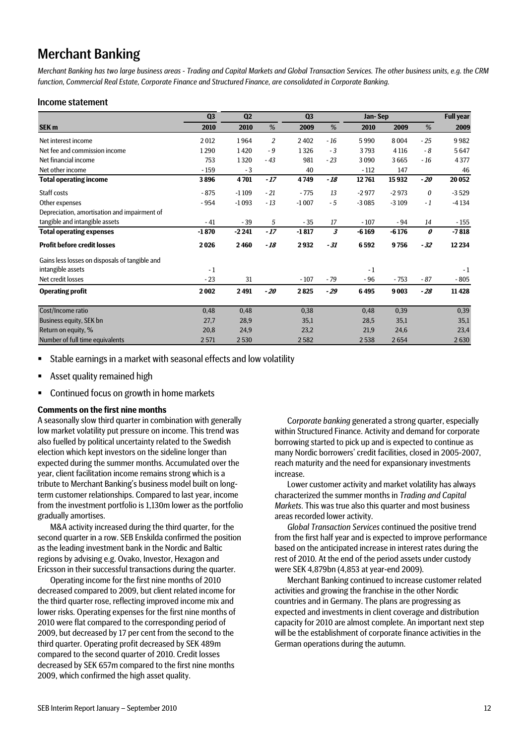# Merchant Banking

*Merchant Banking has two large business areas - Trading and Capital Markets and Global Transaction Services. The other business units, e.g. the CRM function, Commercial Real Estate, Corporate Finance and Structured Finance, are consolidated in Corporate Banking.* 

#### Income statement

|                                                | Q <sub>3</sub> | Q <sub>2</sub> |                | Q <sub>3</sub> |       |         | Jan-Sep |                  | <b>Full year</b> |
|------------------------------------------------|----------------|----------------|----------------|----------------|-------|---------|---------|------------------|------------------|
| SEK <sub>m</sub>                               | 2010           | 2010           | %              | 2009           | %     | 2010    | 2009    | %                | 2009             |
| Net interest income                            | 2012           | 1964           | $\overline{2}$ | 2402           | $-16$ | 5990    | 8004    | $-25$            | 9982             |
| Net fee and commission income                  | 1290           | 1420           | $-9$           | 1326           | $-3$  | 3793    | 4 1 1 6 | - 8              | 5647             |
| Net financial income                           | 753            | 1320           | $-43$          | 981            | $-23$ | 3090    | 3665    | $-16$            | 4377             |
| Net other income                               | $-159$         | $-3$           |                | 40             |       | $-112$  | 147     |                  | 46               |
| <b>Total operating income</b>                  | 3896           | 4701           | $-17$          | 4749           | $-18$ | 12761   | 15932   | $-20$            | 20 052           |
| Staff costs                                    | $-875$         | $-1109$        | $-21$          | $-775$         | 13    | $-2977$ | $-2973$ | $\boldsymbol{0}$ | $-3529$          |
| Other expenses                                 | $-954$         | $-1093$        | $-13$          | $-1007$        | $-5$  | $-3085$ | $-3109$ | $-1$             | $-4134$          |
| Depreciation, amortisation and impairment of   |                |                |                |                |       |         |         |                  |                  |
| tangible and intangible assets                 | $-41$          | $-39$          | 5              | $-35$          | 17    | $-107$  | $-94$   | 14               | $-155$           |
| <b>Total operating expenses</b>                | $-1870$        | $-2241$        | $-17$          | $-1817$        | 3     | $-6169$ | $-6176$ | 0                | $-7818$          |
| <b>Profit before credit losses</b>             | 2026           | 2460           | $-18$          | 2932           | $-31$ | 6592    | 9756    | $-32$            | 12 2 34          |
| Gains less losses on disposals of tangible and |                |                |                |                |       |         |         |                  |                  |
| intangible assets                              | $-1$           |                |                |                |       | $-1$    |         |                  | $-1$             |
| Net credit losses                              | $-23$          | 31             |                | $-107$         | $-79$ | $-96$   | $-753$  | $-87$            | $-805$           |
| <b>Operating profit</b>                        | 2002           | 2491           | $-20$          | 2825           | $-29$ | 6495    | 9003    | $-28$            | 11 4 28          |
| Cost/Income ratio                              | 0,48           | 0,48           |                | 0,38           |       | 0,48    | 0,39    |                  | 0,39             |
| Business equity, SEK bn                        | 27,7           | 28,9           |                | 35,1           |       | 28,5    | 35,1    |                  | 35,1             |
| Return on equity, %                            | 20,8           | 24,9           |                | 23,2           |       | 21,9    | 24,6    |                  | 23,4             |
| Number of full time equivalents                | 2571           | 2530           |                | 2582           |       | 2538    | 2654    |                  | 2630             |

Stable earnings in a market with seasonal effects and low volatility

- **Asset quality remained high**
- Continued focus on growth in home markets

#### **Comments on the first nine months**

A seasonally slow third quarter in combination with generally low market volatility put pressure on income. This trend was also fuelled by political uncertainty related to the Swedish election which kept investors on the sideline longer than expected during the summer months. Accumulated over the year, client facilitation income remains strong which is a tribute to Merchant Banking's business model built on longterm customer relationships. Compared to last year, income from the investment portfolio is 1,130m lower as the portfolio gradually amortises.

M&A activity increased during the third quarter, for the second quarter in a row. SEB Enskilda confirmed the position as the leading investment bank in the Nordic and Baltic regions by advising e.g. Ovako, Investor, Hexagon and Ericsson in their successful transactions during the quarter.

Operating income for the first nine months of 2010 decreased compared to 2009, but client related income for the third quarter rose, reflecting improved income mix and lower risks. Operating expenses for the first nine months of 2010 were flat compared to the corresponding period of 2009, but decreased by 17 per cent from the second to the third quarter. Operating profit decreased by SEK 489m compared to the second quarter of 2010. Credit losses decreased by SEK 657m compared to the first nine months 2009, which confirmed the high asset quality.

C*orporate banking* generated a strong quarter, especially within Structured Finance. Activity and demand for corporate borrowing started to pick up and is expected to continue as many Nordic borrowers' credit facilities, closed in 2005-2007, reach maturity and the need for expansionary investments increase.

Lower customer activity and market volatility has always characterized the summer months in *Trading and Capital Markets*. This was true also this quarter and most business areas recorded lower activity.

*Global Transaction Services* continued the positive trend from the first half year and is expected to improve performance based on the anticipated increase in interest rates during the rest of 2010. At the end of the period assets under custody were SEK 4,879bn (4,853 at year-end 2009).

Merchant Banking continued to increase customer related activities and growing the franchise in the other Nordic countries and in Germany. The plans are progressing as expected and investments in client coverage and distribution capacity for 2010 are almost complete. An important next step will be the establishment of corporate finance activities in the German operations during the autumn.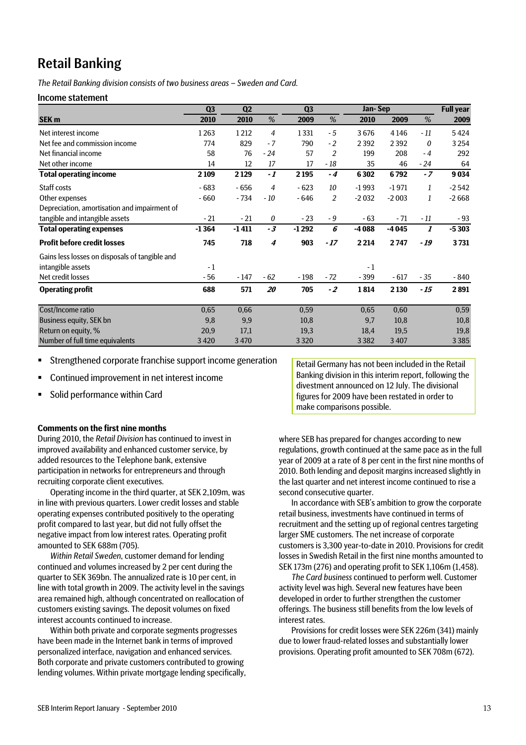# Retail Banking

*The Retail Banking division consists of two business areas – Sweden and Card.* 

#### Income statement

|                                                | Q <sub>3</sub> | Q2      |                | Q <sub>3</sub> |                | Jan-Sep |         |       | <b>Full year</b> |
|------------------------------------------------|----------------|---------|----------------|----------------|----------------|---------|---------|-------|------------------|
| SEK <sub>m</sub>                               | 2010           | 2010    | %              | 2009           | %              | 2010    | 2009    | %     | 2009             |
| Net interest income                            | 1263           | 1212    | $\overline{4}$ | 1331           | $-5$           | 3676    | 4 1 4 6 | $-11$ | 5424             |
| Net fee and commission income                  | 774            | 829     | $-7$           | 790            | $-2$           | 2 3 9 2 | 2392    | 0     | 3 2 5 4          |
| Net financial income                           | 58             | 76      | $-24$          | 57             | $\overline{2}$ | 199     | 208     | $-4$  | 292              |
| Net other income                               | 14             | 12      | 17             | 17             | - 18           | 35      | 46      | $-24$ | 64               |
| <b>Total operating income</b>                  | 2109           | 2129    | $-1$           | 2 1 9 5        | $-4$           | 6302    | 6792    | $-7$  | 9034             |
| Staff costs                                    | $-683$         | $-656$  | $\overline{4}$ | $-623$         | 10             | $-1993$ | $-1971$ | 1     | $-2542$          |
| Other expenses                                 | $-660$         | $-734$  | - 10           | $-646$         | $\overline{2}$ | $-2032$ | $-2003$ | 1     | $-2668$          |
| Depreciation, amortisation and impairment of   |                |         |                |                |                |         |         |       |                  |
| tangible and intangible assets                 | $-21$          | $-21$   | 0              | $-23$          | $-9$           | $-63$   | $-71$   | - 11  | $-93$            |
| <b>Total operating expenses</b>                | $-1364$        | $-1411$ | $-3$           | $-1292$        | 6              | $-4088$ | $-4045$ | 1     | $-5303$          |
| <b>Profit before credit losses</b>             | 745            | 718     | 4              | 903            | $-17$          | 2 2 14  | 2747    | $-19$ | 3731             |
| Gains less losses on disposals of tangible and |                |         |                |                |                |         |         |       |                  |
| intangible assets                              | $-1$           |         |                |                |                | $-1$    |         |       |                  |
| Net credit losses                              | - 56           | $-147$  | $-62$          | - 198          | - 72           | $-399$  | $-617$  | $-35$ | - 840            |
| <b>Operating profit</b>                        | 688            | 571     | 20             | 705            | $-2$           | 1814    | 2 1 3 0 | - 15  | 2891             |
| Cost/Income ratio                              | 0,65           | 0,66    |                | 0,59           |                | 0,65    | 0,60    |       | 0,59             |
| Business equity, SEK bn                        | 9,8            | 9,9     |                | 10,8           |                | 9,7     | 10,8    |       | 10,8             |
| Return on equity, %                            | 20,9           | 17,1    |                | 19,3           |                | 18,4    | 19,5    |       | 19,8             |
| Number of full time equivalents                | 3420           | 3 4 7 0 |                | 3 3 2 0        |                | 3382    | 3 4 0 7 |       | 3385             |

- Strengthened corporate franchise support income generation
- Continued improvement in net interest income
- **Solid performance within Card**

Retail Germany has not been included in the Retail Banking division in this interim report, following the divestment announced on 12 July. The divisional figures for 2009 have been restated in order to make comparisons possible.

#### **Comments on the first nine months**

During 2010, the *Retail Division* has continued to invest in improved availability and enhanced customer service, by added resources to the Telephone bank, extensive participation in networks for entrepreneurs and through recruiting corporate client executives.

Operating income in the third quarter, at SEK 2,109m, was in line with previous quarters. Lower credit losses and stable operating expenses contributed positively to the operating profit compared to last year, but did not fully offset the negative impact from low interest rates. Operating profit amounted to SEK 688m (705).

*Within Retail Sweden*, customer demand for lending continued and volumes increased by 2 per cent during the quarter to SEK 369bn. The annualized rate is 10 per cent, in line with total growth in 2009. The activity level in the savings area remained high, although concentrated on reallocation of customers existing savings. The deposit volumes on fixed interest accounts continued to increase.

Within both private and corporate segments progresses have been made in the Internet bank in terms of improved personalized interface, navigation and enhanced services. Both corporate and private customers contributed to growing lending volumes. Within private mortgage lending specifically, where SEB has prepared for changes according to new regulations, growth continued at the same pace as in the full year of 2009 at a rate of 8 per cent in the first nine months of 2010. Both lending and deposit margins increased slightly in the last quarter and net interest income continued to rise a second consecutive quarter.

In accordance with SEB's ambition to grow the corporate retail business, investments have continued in terms of recruitment and the setting up of regional centres targeting larger SME customers. The net increase of corporate customers is 3,300 year-to-date in 2010. Provisions for credit losses in Swedish Retail in the first nine months amounted to SEK 173m (276) and operating profit to SEK 1,106m (1,458).

*The Card business* continued to perform well. Customer activity level was high. Several new features have been developed in order to further strengthen the customer offerings. The business still benefits from the low levels of interest rates.

Provisions for credit losses were SEK 226m (341) mainly due to lower fraud-related losses and substantially lower provisions. Operating profit amounted to SEK 708m (672).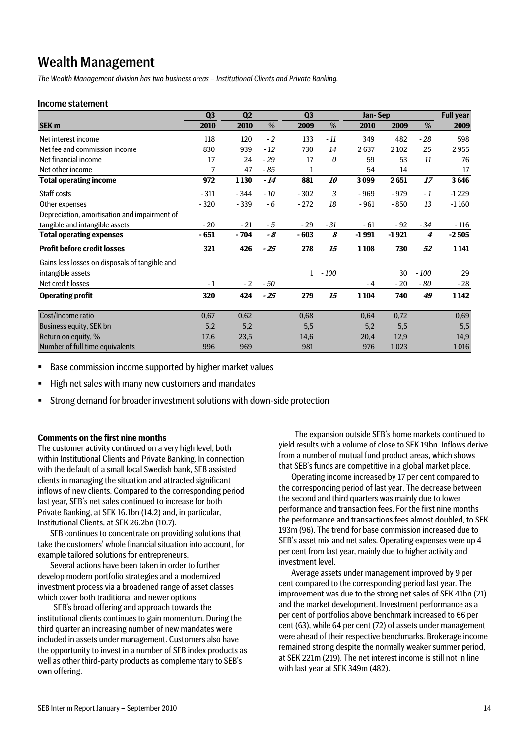# Wealth Management

*The Wealth Management division has two business areas – Institutional Clients and Private Banking.* 

#### Income statement

|                                                | Q <sub>3</sub> | Q <sub>2</sub> |       | Q <sub>3</sub> |                  | Jan-Sep |         |                  | <b>Full year</b> |
|------------------------------------------------|----------------|----------------|-------|----------------|------------------|---------|---------|------------------|------------------|
| SEK <sub>m</sub>                               | 2010           | 2010           | %     | 2009           | %                | 2010    | 2009    | %                | 2009             |
| Net interest income                            | 118            | 120            | $-2$  | 133            | $-11$            | 349     | 482     | $-28$            | 598              |
| Net fee and commission income                  | 830            | 939            | $-12$ | 730            | 14               | 2637    | 2 1 0 2 | 25               | 2955             |
| Net financial income                           | 17             | 24             | $-29$ | 17             | 0                | 59      | 53      | 11               | 76               |
| Net other income                               | 7              | 47             | $-85$ | 1              |                  | 54      | 14      |                  | 17               |
| <b>Total operating income</b>                  | 972            | 1130           | $-14$ | 881            | <i><b>10</b></i> | 3099    | 2651    | 17               | 3646             |
| Staff costs                                    | $-311$         | $-344$         | $-10$ | $-302$         | 3                | $-969$  | $-979$  | $-1$             | $-1229$          |
| Other expenses                                 | $-320$         | $-339$         | - 6   | $-272$         | 18               | $-961$  | $-850$  | 13               | $-1160$          |
| Depreciation, amortisation and impairment of   |                |                |       |                |                  |         |         |                  |                  |
| tangible and intangible assets                 | $-20$          | $-21$          | $-5$  | $-29$          | $-31$            | $-61$   | $-92$   | $-34$            | $-116$           |
| <b>Total operating expenses</b>                | - 651          | $-704$         | - 8   | $-603$         | 8                | $-1991$ | $-1921$ | $\boldsymbol{4}$ | $-2505$          |
| <b>Profit before credit losses</b>             | 321            | 426            | $-25$ | 278            | 15               | 1108    | 730     | 52               | 1141             |
| Gains less losses on disposals of tangible and |                |                |       |                |                  |         |         |                  |                  |
| intangible assets                              |                |                |       | 1              | $-100$           |         | 30      | $-100$           | 29               |
| Net credit losses                              | $-1$           | $-2$           | $-50$ |                |                  | - 4     | $-20$   | - 80             | $-28$            |
| <b>Operating profit</b>                        | 320            | 424            | $-25$ | 279            | 15               | 1104    | 740     | 49               | 1 1 4 2          |
| Cost/Income ratio                              | 0,67           | 0,62           |       | 0,68           |                  | 0,64    | 0,72    |                  | 0,69             |
| Business equity, SEK bn                        | 5,2            | 5,2            |       | 5,5            |                  | 5,2     | 5,5     |                  | 5,5              |
| Return on equity, %                            | 17,6           | 23,5           |       | 14,6           |                  | 20,4    | 12,9    |                  | 14,9             |
| Number of full time equivalents                | 996            | 969            |       | 981            |                  | 976     | 1023    |                  | 1016             |

Base commission income supported by higher market values

■ High net sales with many new customers and mandates

Strong demand for broader investment solutions with down-side protection

#### **Comments on the first nine months**

The customer activity continued on a very high level, both within Institutional Clients and Private Banking. In connection with the default of a small local Swedish bank, SEB assisted clients in managing the situation and attracted significant inflows of new clients. Compared to the corresponding period last year, SEB's net sales continued to increase for both Private Banking, at SEK 16.1bn (14.2) and, in particular, Institutional Clients, at SEK 26.2bn (10.7).

SEB continues to concentrate on providing solutions that take the customers' whole financial situation into account, for example tailored solutions for entrepreneurs.

Several actions have been taken in order to further develop modern portfolio strategies and a modernized investment process via a broadened range of asset classes which cover both traditional and newer options.

SEB's broad offering and approach towards the institutional clients continues to gain momentum. During the third quarter an increasing number of new mandates were included in assets under management. Customers also have the opportunity to invest in a number of SEB index products as well as other third-party products as complementary to SEB's own offering.

The expansion outside SEB's home markets continued to yield results with a volume of close to SEK 19bn. Inflows derive from a number of mutual fund product areas, which shows that SEB's funds are competitive in a global market place.

Operating income increased by 17 per cent compared to the corresponding period of last year. The decrease between the second and third quarters was mainly due to lower performance and transaction fees. For the first nine months the performance and transactions fees almost doubled, to SEK 193m (96). The trend for base commission increased due to SEB's asset mix and net sales. Operating expenses were up 4 per cent from last year, mainly due to higher activity and investment level.

Average assets under management improved by 9 per cent compared to the corresponding period last year. The improvement was due to the strong net sales of SEK 41bn (21) and the market development. Investment performance as a per cent of portfolios above benchmark increased to 66 per cent (63), while 64 per cent (72) of assets under management were ahead of their respective benchmarks. Brokerage income remained strong despite the normally weaker summer period, at SEK 221m (219). The net interest income is still not in line with last year at SEK 349m (482).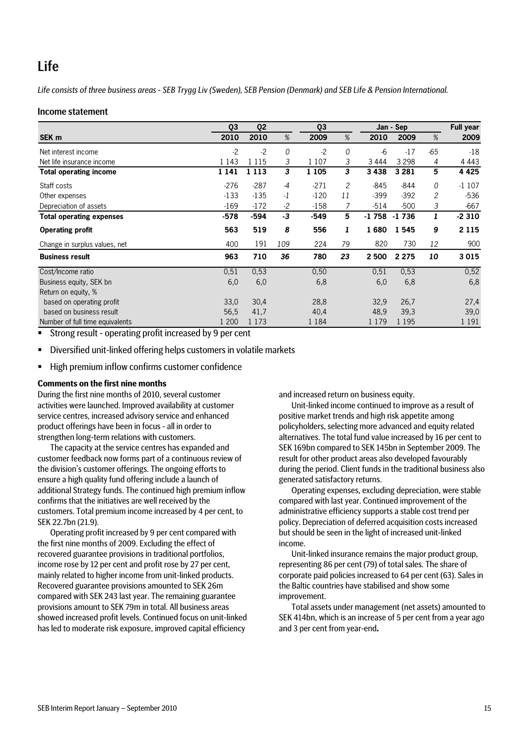# Life

*Life consists of three business areas - SEB Trygg Liv (Sweden), SEB Pension (Denmark) and SEB Life & Pension International.* 

#### Income statement

|                                 | Q <sub>3</sub> | Q <sub>2</sub> |      | Q <sub>3</sub> |                |         | Jan - Sep |          | <b>Full year</b> |
|---------------------------------|----------------|----------------|------|----------------|----------------|---------|-----------|----------|------------------|
| SEK <sub>m</sub>                | 2010           | 2010           | %    | 2009           | %              | 2010    | 2009      | %        | 2009             |
| Net interest income             | $-2$           | $-2$           | 0    | $-2$           | 0              | -6      | $-17$     | $-65$    | $-18$            |
| Net life insurance income       | 1 1 4 3        | 1 1 1 5        | 3    | 1 1 0 7        | 3              | 3 4 4 4 | 3 2 9 8   | 4        | 4 4 4 3          |
| <b>Total operating income</b>   | 1 1 4 1        | 1 1 1 3        | 3    | 1 1 0 5        | 3              | 3438    | 3 2 8 1   | 5        | 4 4 2 5          |
| Staff costs                     | $-276$         | $-287$         | -4   | $-271$         | $\overline{c}$ | $-845$  | $-844$    | $\Omega$ | $-1107$          |
| Other expenses                  | $-133$         | $-135$         | $-1$ | $-120$         | 11             | $-399$  | $-392$    | 2        | $-536$           |
| Depreciation of assets          | $-169$         | $-172$         | $-2$ | $-158$         | 7              | $-514$  | $-500$    | 3        | $-667$           |
| <b>Total operating expenses</b> | $-578$         | $-594$         | -3   | $-549$         | 5              | $-1758$ | $-1736$   | 1        | $-2310$          |
| <b>Operating profit</b>         | 563            | 519            | 8    | 556            | 1              | 1680    | 1545      | 9        | 2 1 1 5          |
| Change in surplus values, net   | 400            | 191            | 109  | 224            | 79             | 820     | 730       | 12       | 900              |
| <b>Business result</b>          | 963            | 710            | 36   | 780            | 23             | 2 500   | 2 2 7 5   | 10       | 3015             |
| Cost/Income ratio               | 0,51           | 0,53           |      | 0,50           |                | 0,51    | 0,53      |          | 0,52             |
| Business equity, SEK bn         | 6,0            | 6,0            |      | 6,8            |                | 6,0     | 6,8       |          | 6,8              |
| Return on equity, %             |                |                |      |                |                |         |           |          |                  |
| based on operating profit       | 33,0           | 30,4           |      | 28,8           |                | 32.9    | 26,7      |          | 27,4             |
| based on business result        | 56,5           | 41,7           |      | 40,4           |                | 48,9    | 39,3      |          | 39,0             |
| Number of full time equivalents | l 200          | 1 1 7 3        |      | 1 1 8 4        |                | 1 1 7 9 | 1 1 9 5   |          | 1 1 9 1          |

**Strong result - operating profit increased by 9 per cent** 

Diversified unit-linked offering helps customers in volatile markets

■ High premium inflow confirms customer confidence

#### **Comments on the first nine months**

During the first nine months of 2010, several customer activities were launched. Improved availability at customer service centres, increased advisory service and enhanced product offerings have been in focus - all in order to strengthen long-term relations with customers.

The capacity at the service centres has expanded and customer feedback now forms part of a continuous review of the division's customer offerings. The ongoing efforts to ensure a high quality fund offering include a launch of additional Strategy funds. The continued high premium inflow confirms that the initiatives are well received by the customers. Total premium income increased by 4 per cent, to SEK 22.7bn (21.9).

Operating profit increased by 9 per cent compared with the first nine months of 2009. Excluding the effect of recovered guarantee provisions in traditional portfolios, income rose by 12 per cent and profit rose by 27 per cent, mainly related to higher income from unit-linked products. Recovered guarantee provisions amounted to SEK 26m compared with SEK 243 last year. The remaining guarantee provisions amount to SEK 79m in total. All business areas showed increased profit levels. Continued focus on unit-linked has led to moderate risk exposure, improved capital efficiency

and increased return on business equity.

Unit-linked income continued to improve as a result of positive market trends and high risk appetite among policyholders, selecting more advanced and equity related alternatives. The total fund value increased by 16 per cent to SEK 169bn compared to SEK 145bn in September 2009. The result for other product areas also developed favourably during the period. Client funds in the traditional business also generated satisfactory returns.

Operating expenses, excluding depreciation, were stable compared with last year. Continued improvement of the administrative efficiency supports a stable cost trend per policy. Depreciation of deferred acquisition costs increased but should be seen in the light of increased unit-linked income.

Unit-linked insurance remains the major product group, representing 86 per cent (79) of total sales. The share of corporate paid policies increased to 64 per cent (63). Sales in the Baltic countries have stabilised and show some improvement.

Total assets under management (net assets) amounted to SEK 414bn, which is an increase of 5 per cent from a year ago and 3 per cent from year-end**.**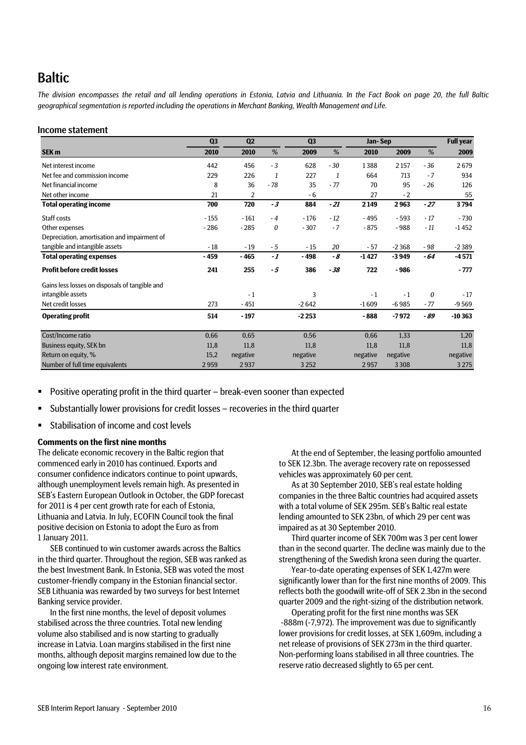# Baltic

*The division encompasses the retail and all lending operations in Estonia, Latvia and Lithuania. In the Fact Book on page 20, the full Baltic geographical segmentation is reported including the operations in Merchant Banking, Wealth Management and Life.* 

#### Income statement

|                                                | Q <sub>3</sub> | Q <sub>2</sub> |       | Q <sub>3</sub> |       | Jan-Sep  |          |                  | <b>Full year</b> |
|------------------------------------------------|----------------|----------------|-------|----------------|-------|----------|----------|------------------|------------------|
| SEK <sub>m</sub>                               | 2010           | 2010           | %     | 2009           | %     | 2010     | 2009     | %                | 2009             |
| Net interest income                            | 442            | 456            | $-3$  | 628            | $-30$ | 1388     | 2 1 5 7  | $-36$            | 2679             |
| Net fee and commission income                  | 229            | 226            | 1     | 227            | 1     | 664      | 713      | $-7$             | 934              |
| Net financial income                           | 8              | 36             | $-78$ | 35             | $-77$ | 70       | 95       | $-26$            | 126              |
| Net other income                               | 21             | 2              |       | $-6$           |       | 27       | $-2$     |                  | 55               |
| <b>Total operating income</b>                  | 700            | 720            | $-3$  | 884            | $-21$ | 2 1 4 9  | 2963     | $-27$            | 3794             |
| Staff costs                                    | $-155$         | $-161$         | $-4$  | $-176$         | $-12$ | $-495$   | $-593$   | $-17$            | $-730$           |
| Other expenses                                 | $-286$         | $-285$         | 0     | $-307$         | $-7$  | $-875$   | $-988$   | $-11$            | $-1452$          |
| Depreciation, amortisation and impairment of   |                |                |       |                |       |          |          |                  |                  |
| tangible and intangible assets                 | $-18$          | $-19$          | $-5$  | $-15$          | 20    | $-57$    | $-2368$  | $-98$            | $-2389$          |
| <b>Total operating expenses</b>                | $-459$         | $-465$         | -1    | $-498$         | - 8   | $-1427$  | $-3949$  | - 64             | $-4571$          |
| <b>Profit before credit losses</b>             | 241            | 255            | - 5   | 386            | $-38$ | 722      | $-986$   |                  | $-777$           |
| Gains less losses on disposals of tangible and |                |                |       |                |       |          |          |                  |                  |
| intangible assets                              |                | $-1$           |       | 3              |       | $-1$     | $-1$     | $\boldsymbol{0}$ | $-17$            |
| Net credit losses                              | 273            | $-451$         |       | $-2642$        |       | $-1609$  | $-6985$  | $-77$            | $-9569$          |
| <b>Operating profit</b>                        | 514            | $-197$         |       | $-2253$        |       | $-888$   | -7972    | - 89             | $-10363$         |
| Cost/Income ratio                              | 0,66           | 0,65           |       | 0,56           |       | 0,66     | 1,33     |                  | 1,20             |
| Business equity, SEK bn                        | 11,8           | 11,8           |       | 11.8           |       | 11,8     | 11,8     |                  | 11,8             |
| Return on equity, %                            | 15,2           | negative       |       | negative       |       | negative | negative |                  | negative         |
| Number of full time equivalents                | 2959           | 2937           |       | 3 2 5 2        |       | 2957     | 3 3 0 8  |                  | 3 2 7 5          |

- **Positive operating profit in the third quarter break-even sooner than expected**
- Substantially lower provisions for credit losses recoveries in the third quarter
- Stabilisation of income and cost levels

#### **Comments on the first nine months**

The delicate economic recovery in the Baltic region that commenced early in 2010 has continued. Exports and consumer confidence indicators continue to point upwards, although unemployment levels remain high. As presented in SEB's Eastern European Outlook in October, the GDP forecast for 2011 is 4 per cent growth rate for each of Estonia, Lithuania and Latvia. In July, ECOFIN Council took the final positive decision on Estonia to adopt the Euro as from 1 January 2011.

SEB continued to win customer awards across the Baltics in the third quarter. Throughout the region, SEB was ranked as the best Investment Bank. In Estonia, SEB was voted the most customer-friendly company in the Estonian financial sector. SEB Lithuania was rewarded by two surveys for best Internet Banking service provider.

In the first nine months, the level of deposit volumes stabilised across the three countries. Total new lending volume also stabilised and is now starting to gradually increase in Latvia. Loan margins stabilised in the first nine months, although deposit margins remained low due to the ongoing low interest rate environment.

At the end of September, the leasing portfolio amounted to SEK 12.3bn. The average recovery rate on repossessed vehicles was approximately 60 per cent.

As at 30 September 2010, SEB's real estate holding companies in the three Baltic countries had acquired assets with a total volume of SEK 295m. SEB's Baltic real estate lending amounted to SEK 23bn, of which 29 per cent was impaired as at 30 September 2010.

Third quarter income of SEK 700m was 3 per cent lower than in the second quarter. The decline was mainly due to the strengthening of the Swedish krona seen during the quarter.

Year-to-date operating expenses of SEK 1,427m were significantly lower than for the first nine months of 2009. This reflects both the goodwill write-off of SEK 2.3bn in the second quarter 2009 and the right-sizing of the distribution network.

Operating profit for the first nine months was SEK -888m (-7,972). The improvement was due to significantly lower provisions for credit losses, at SEK 1,609m, including a net release of provisions of SEK 273m in the third quarter. Non-performing loans stabilised in all three countries. The reserve ratio decreased slightly to 65 per cent.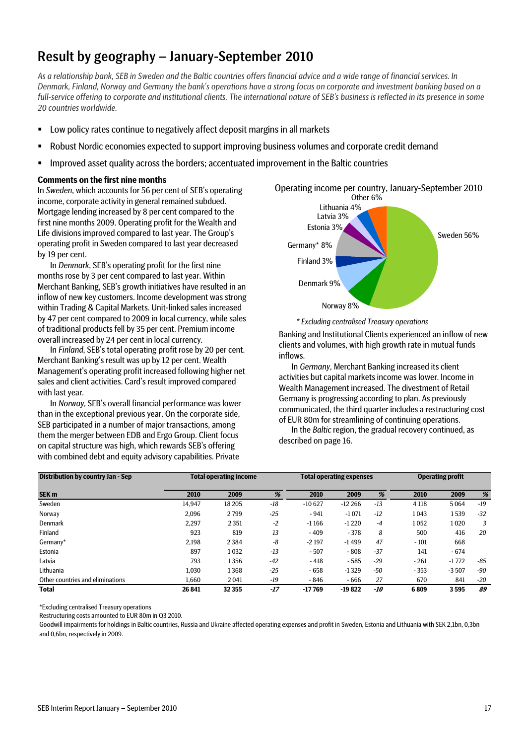# Result by geography – January-September 2010

*As a relationship bank, SEB in Sweden and the Baltic countries offers financial advice and a wide range of financial services. In Denmark, Finland, Norway and Germany the bank's operations have a strong focus on corporate and investment banking based on a full-service offering to corporate and institutional clients. The international nature of SEB's business is reflected in its presence in some 20 countries worldwide.* 

- Low policy rates continue to negatively affect deposit margins in all markets
- Robust Nordic economies expected to support improving business volumes and corporate credit demand
- Improved asset quality across the borders; accentuated improvement in the Baltic countries

#### **Comments on the first nine months**

In *Sweden*, which accounts for 56 per cent of SEB's operating income, corporate activity in general remained subdued. Mortgage lending increased by 8 per cent compared to the first nine months 2009. Operating profit for the Wealth and Life divisions improved compared to last year. The Group's operating profit in Sweden compared to last year decreased by 19 per cent.

In *Denmark*, SEB's operating profit for the first nine months rose by 3 per cent compared to last year. Within Merchant Banking, SEB's growth initiatives have resulted in an inflow of new key customers. Income development was strong within Trading & Capital Markets. Unit-linked sales increased by 47 per cent compared to 2009 in local currency, while sales of traditional products fell by 35 per cent. Premium income overall increased by 24 per cent in local currency.

In *Finland*, SEB's total operating profit rose by 20 per cent. Merchant Banking's result was up by 12 per cent. Wealth Management's operating profit increased following higher net sales and client activities. Card's result improved compared with last year.

In *Norway,* SEB's overall financial performance was lower than in the exceptional previous year. On the corporate side, SEB participated in a number of major transactions, among them the merger between EDB and Ergo Group. Client focus on capital structure was high, which rewards SEB's offering with combined debt and equity advisory capabilities. Private



*\* Excluding centralised Treasury operations*

Banking and Institutional Clients experienced an inflow of new clients and volumes, with high growth rate in mutual funds inflows.

In *Germany,* Merchant Banking increased its client activities but capital markets income was lower. Income in Wealth Management increased. The divestment of Retail Germany is progressing according to plan. As previously communicated, the third quarter includes a restructuring cost of EUR 80m for streamlining of continuing operations.

In the *Baltic* region, the gradual recovery continued, as described on page 16.

| <b>Distribution by country Jan - Sep</b> |        | <b>Total operating income</b> |       |          | <b>Total operating expenses</b> |       | <b>Operating profit</b> |         |       |
|------------------------------------------|--------|-------------------------------|-------|----------|---------------------------------|-------|-------------------------|---------|-------|
| SEK <sub>m</sub>                         | 2010   | 2009                          | %     | 2010     | 2009                            | %     | 2010                    | 2009    | %     |
| Sweden                                   | 14.947 | 18 20 5                       | $-18$ | $-10627$ | $-12266$                        | $-13$ | 4 1 1 8                 | 5064    | $-19$ |
| Norway                                   | 2.096  | 2799                          | $-25$ | $-941$   | $-1071$                         | $-12$ | 1043                    | 1 539   | $-32$ |
| Denmark                                  | 2.297  | 2 3 5 1                       | $-2$  | $-1166$  | $-1220$                         | $-4$  | 1052                    | 1020    | 3     |
| Finland                                  | 923    | 819                           | 13    | $-409$   | $-378$                          | 8     | 500                     | 416     | 20    |
| Germany*                                 | 2.198  | 2 3 8 4                       | $-8$  | $-2197$  | $-1499$                         | 47    | $-101$                  | 668     |       |
| Estonia                                  | 897    | 1032                          | $-13$ | $-507$   | $-808$                          | $-37$ | 141                     | - 674   |       |
| Latvia                                   | 793    | 1356                          | $-42$ | $-418$   | $-585$                          | $-29$ | $-261$                  | $-1772$ | -85   |
| Lithuania                                | 1,030  | 1368                          | $-25$ | $-658$   | $-1329$                         | -50   | $-353$                  | $-3507$ | -90   |
| Other countries and eliminations         | 1.660  | 2041                          | $-19$ | - 846    | $-666$                          | 27    | 670                     | 841     | $-20$ |
| <b>Total</b>                             | 26 841 | 32 3 55                       | -17   | $-17769$ | -19822                          | -10   | 6809                    | 3595    | 89    |

\*Excluding centralised Treasury operations

Restructuring costs amounted to EUR 80m in Q3 2010.

Goodwill impairments for holdings in Baltic countries, Russia and Ukraine affected operating expenses and profit in Sweden, Estonia and Lithuania with SEK 2,1bn, 0,3bn and 0,6bn, respectively in 2009.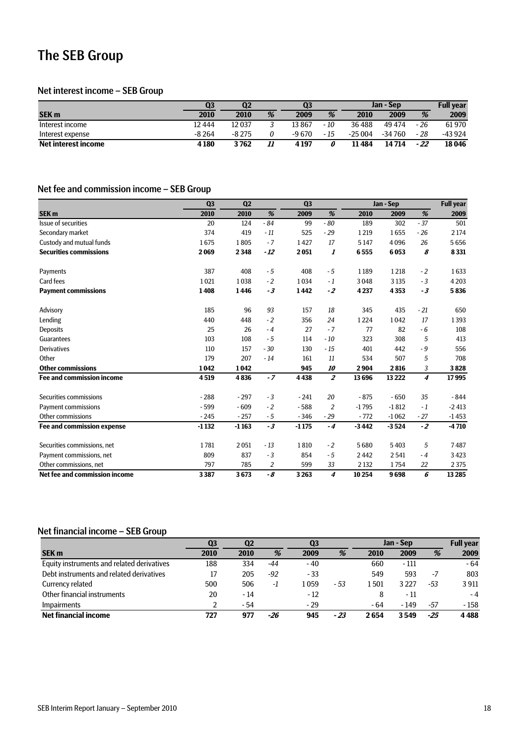# The SEB Group

#### Net interest income – SEB Group

|                            | Q3      | Q2      |    | Q <sub>3</sub> |      | Jan - Sep |          |       | <b>Full vear</b> |
|----------------------------|---------|---------|----|----------------|------|-----------|----------|-------|------------------|
| <b>SEK m</b>               | 2010    | 2010    | %  | 2009           | %    | 2010      | 2009     | %     | 2009             |
| Interest income            | 12 444  | 12 037  |    | 13 867         | - 10 | 36488     | 49474    | - 26  | 61970            |
| Interest expense           | $-8264$ | $-8275$ |    | $-9670$        | - 15 | $-25004$  | $-34760$ | $-28$ | -43 924          |
| <b>Net interest income</b> | 4180    | 3762    | 11 | 4 1 9 7        |      | 11484     | 14 714   | - 22  | 18 04 6          |

### Net fee and commission income – SEB Group

|                                  | Q <sub>3</sub> | Q <sub>2</sub> |       | Q <sub>3</sub> |                |         | Jan - Sep |       | <b>Full year</b> |
|----------------------------------|----------------|----------------|-------|----------------|----------------|---------|-----------|-------|------------------|
| SEK <sub>m</sub>                 | 2010           | 2010           | %     | 2009           | %              | 2010    | 2009      | %     | 2009             |
| Issue of securities              | 20             | 124            | $-84$ | 99             | $-80$          | 189     | 302       | $-37$ | 501              |
| Secondary market                 | 374            | 419            | $-11$ | 525            | $-29$          | 1219    | 1655      | $-26$ | 2 1 7 4          |
| Custody and mutual funds         | 1675           | 1805           | $-7$  | 1427           | 17             | 5147    | 4096      | 26    | 5656             |
| <b>Securities commissions</b>    | 2069           | 2348           | - 12  | 2051           | 1              | 6555    | 6053      | 8     | 8331             |
| Payments                         | 387            | 408            | $-5$  | 408            | $-5$           | 1189    | 1218      | $-2$  | 1633             |
| Card fees                        | 1021           | 1038           | $-2$  | 1034           | $-1$           | 3048    | 3 1 3 5   | $-3$  | 4 2 0 3          |
| <b>Payment commissions</b>       | 1408           | 1446           | $-3$  | 1442           | $-2$           | 4237    | 4353      | $-3$  | 5836             |
| Advisory                         | 185            | 96             | 93    | 157            | 18             | 345     | 435       | $-21$ | 650              |
| Lending                          | 440            | 448            | $-2$  | 356            | 24             | 1224    | 1042      | 17    | 1393             |
| <b>Deposits</b>                  | 25             | 26             | $-4$  | 27             | $-7$           | 77      | 82        | $-6$  | 108              |
| Guarantees                       | 103            | 108            | $-5$  | 114            | $-10$          | 323     | 308       | 5     | 413              |
| <b>Derivatives</b>               | 110            | 157            | $-30$ | 130            | $-15$          | 401     | 442       | $-9$  | 556              |
| Other                            | 179            | 207            | $-14$ | 161            | 11             | 534     | 507       | 5     | 708              |
| <b>Other commissions</b>         | 1042           | 1042           |       | 945            | 10             | 2904    | 2816      | 3     | 3828             |
| <b>Fee and commission income</b> | 4519           | 4836           | $-7$  | 4438           | $\overline{z}$ | 13696   | 13 2 22   | 4     | 17995            |
| Securities commissions           | $-288$         | $-297$         | $-3$  | $-241$         | 20             | $-875$  | $-650$    | 35    | $-844$           |
| <b>Payment commissions</b>       | $-599$         | $-609$         | $-2$  | $-588$         | $\overline{2}$ | $-1795$ | $-1812$   | $-1$  | $-2413$          |
| Other commissions                | $-245$         | $-257$         | $-5$  | $-346$         | $-29$          | $-772$  | $-1062$   | $-27$ | $-1453$          |
| Fee and commission expense       | $-1132$        | $-1163$        | $-3$  | $-1175$        | $-4$           | $-3442$ | $-3524$   | $-2$  | $-4710$          |
| Securities commissions, net      | 1781           | 2051           | $-13$ | 1810           | $-2$           | 5680    | 5403      | 5     | 7487             |
| Payment commissions, net         | 809            | 837            | $-3$  | 854            | $-5$           | 2442    | 2541      | $-4$  | 3423             |
| Other commissions, net           | 797            | 785            | 2     | 599            | 33             | 2 1 3 2 | 1754      | 22    | 2375             |
| Net fee and commission income    | 3387           | 3673           | - 8   | 3263           | 4              | 10254   | 9698      | 6     | 13285            |

# Net financial income – SEB Group

|                                            | Q3   | Q <sub>2</sub> |       | Q <sub>3</sub> |       |       | Jan - Sep |     | <b>Full year</b> |
|--------------------------------------------|------|----------------|-------|----------------|-------|-------|-----------|-----|------------------|
| <b>SEK m</b>                               | 2010 | 2010           | %     | 2009           | %     | 2010  | 2009      | %   | 2009             |
| Equity instruments and related derivatives | 188  | 334            | -44   | $-40$          |       | 660   | - 111     |     | $-64$            |
| Debt instruments and related derivatives   | 17   | 205            | $-92$ | - 33           |       | 549   | 593       | -7  | 803              |
| Currency related                           | 500  | 506            | -1    | 1059           | - 53  | 1501  | 3 2 2 7   | -53 | 3911             |
| Other financial instruments                | 20   | $-14$          |       | $-12$          |       | 8     | - 11      |     | $-4$             |
| <b>Impairments</b>                         |      | - 54           |       | $-29$          |       | $-64$ | $-149$    | -57 | $-158$           |
| <b>Net financial income</b>                | 727  | 977            | -26   | 945            | $-23$ | 2 654 | 3549      | -25 | 4488             |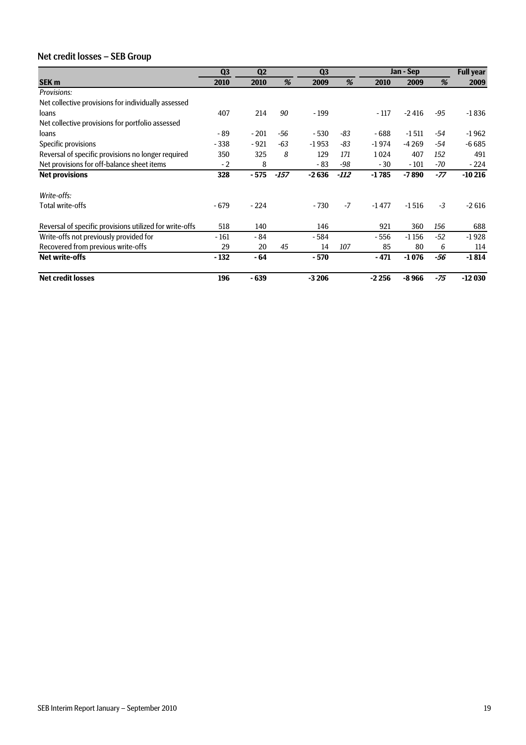# Net credit losses – SEB Group

|                                                         | Q <sub>3</sub> | Q <sub>2</sub> |        | Q <sub>3</sub> |      |         | Jan - Sep |       | <b>Full year</b> |
|---------------------------------------------------------|----------------|----------------|--------|----------------|------|---------|-----------|-------|------------------|
| <b>SEK m</b>                                            | 2010           | 2010           | %      | 2009           | %    | 2010    | 2009      | %     | 2009             |
| <b>Provisions:</b>                                      |                |                |        |                |      |         |           |       |                  |
| Net collective provisions for individually assessed     |                |                |        |                |      |         |           |       |                  |
| loans                                                   | 407            | 214            | 90     | $-199$         |      | $-117$  | $-2416$   | -95   | $-1836$          |
| Net collective provisions for portfolio assessed        |                |                |        |                |      |         |           |       |                  |
| loans                                                   | - 89           | $-201$         | -56    | $-530$         | -83  | - 688   | $-1511$   | -54   | $-1962$          |
| Specific provisions                                     | $-338$         | $-921$         | $-63$  | $-1953$        | -83  | $-1974$ | $-4269$   | -54   | $-6685$          |
| Reversal of specific provisions no longer required      | 350            | 325            | 8      | 129            | 171  | 1024    | 407       | 152   | 491              |
| Net provisions for off-balance sheet items              | $-2$           | 8              |        | $-83$          | -98  | $-30$   | $-101$    | -70   | $-224$           |
| <b>Net provisions</b>                                   | 328            | $-575$         | $-157$ | $-2636$        | -112 | $-1785$ | $-7890$   | -77   | $-10216$         |
| Write-offs:                                             |                |                |        |                |      |         |           |       |                  |
| Total write-offs                                        | $-679$         | $-224$         |        | - 730          | $-7$ | $-1477$ | $-1516$   | $-3$  | $-2616$          |
| Reversal of specific provisions utilized for write-offs | 518            | 140            |        | 146            |      | 921     | 360       | 156   | 688              |
| Write-offs not previously provided for                  | $-161$         | - 84           |        | - 584          |      | - 556   | $-1156$   | $-52$ | $-1928$          |
| Recovered from previous write-offs                      | 29             | 20             | 45     | 14             | 107  | 85      | 80        | 6     | 114              |
| <b>Net write-offs</b>                                   | $-132$         | - 64           |        | $-570$         |      | $-471$  | $-1076$   | -56   | $-1814$          |
| <b>Net credit losses</b>                                | 196            | $-639$         |        | $-3206$        |      | $-2256$ | $-8966$   | -75   | $-12030$         |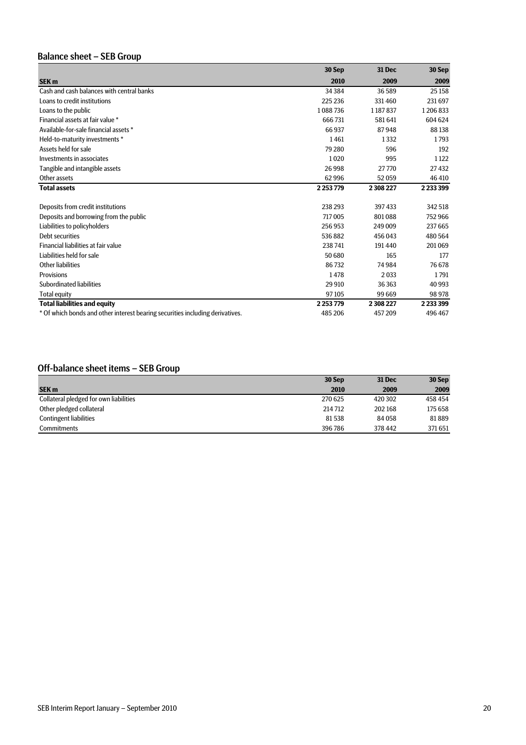# Balance sheet – SEB Group

|                                                                               | 30 Sep        | <b>31 Dec</b> | 30 Sep        |
|-------------------------------------------------------------------------------|---------------|---------------|---------------|
| SEK <sub>m</sub>                                                              | 2010          | 2009          | 2009          |
| Cash and cash balances with central banks                                     | 34 3 84       | 36589         | 25 158        |
| Loans to credit institutions                                                  | 225 236       | 331460        | 231 697       |
| Loans to the public                                                           | 1088736       | 1187837       | 1206833       |
| Financial assets at fair value *                                              | 666731        | 581641        | 604 624       |
| Available-for-sale financial assets *                                         | 66937         | 87948         | 88138         |
| Held-to-maturity investments *                                                | 1461          | 1332          | 1793          |
| Assets held for sale                                                          | 79 280        | 596           | 192           |
| Investments in associates                                                     | 1020          | 995           | 1122          |
| Tangible and intangible assets                                                | 26998         | 27770         | 27432         |
| Other assets                                                                  | 62996         | 52059         | 46 410        |
| <b>Total assets</b>                                                           | 2 2 5 3 7 7 9 | 2308227       | 2 2 3 3 3 9 9 |
| Deposits from credit institutions                                             | 238 293       | 397 433       | 342 518       |
| Deposits and borrowing from the public                                        | 717005        | 801088        | 752966        |
| Liabilities to policyholders                                                  | 256953        | 249 009       | 237665        |
| Debt securities                                                               | 536882        | 456 043       | 480564        |
| Financial liabilities at fair value                                           | 238741        | 191440        | 201069        |
| Liabilities held for sale                                                     | 50 680        | 165           | 177           |
| Other liabilities                                                             | 86732         | 74984         | 76678         |
| Provisions                                                                    | 1478          | 2033          | 1791          |
| Subordinated liabilities                                                      | 29 910        | 36363         | 40 9 93       |
| <b>Total equity</b>                                                           | 97105         | 99 669        | 98978         |
| <b>Total liabilities and equity</b>                                           | 2 2 5 3 7 7 9 | 2 308 227     | 2233399       |
| * Of which bonds and other interest bearing securities including derivatives. | 485 206       | 457209        | 496 467       |

### Off-balance sheet items – SEB Group

|                                        | 30 Sep  | <b>31 Dec</b> | 30 Sep  |
|----------------------------------------|---------|---------------|---------|
| <b>SEK m</b>                           | 2010    | 2009          | 2009    |
| Collateral pledged for own liabilities | 270 625 | 420 302       | 458 454 |
| Other pledged collateral               | 214 712 | 202168        | 175 658 |
| <b>Contingent liabilities</b>          | 81538   | 84058         | 81889   |
| <b>Commitments</b>                     | 396786  | 378 442       | 371651  |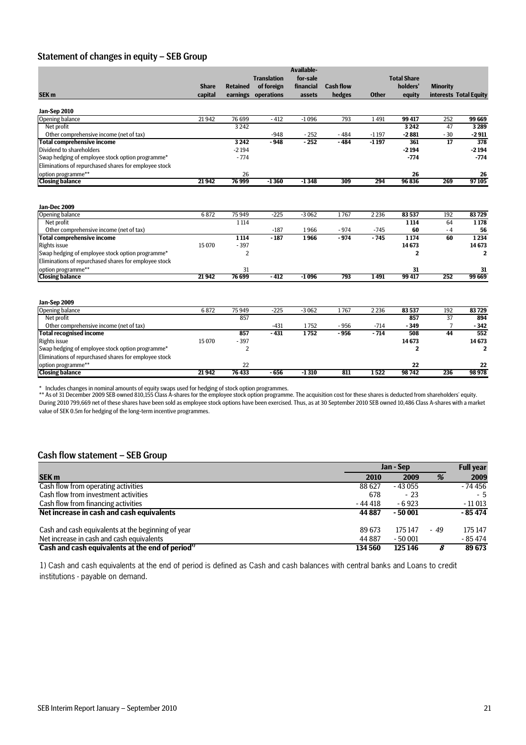### Statement of changes in equity – SEB Group

|                                                       |              |                 |                    | <b>Available-</b> |                  |              |                         |                 |                        |
|-------------------------------------------------------|--------------|-----------------|--------------------|-------------------|------------------|--------------|-------------------------|-----------------|------------------------|
|                                                       |              |                 | <b>Translation</b> | for-sale          |                  |              | <b>Total Share</b>      |                 |                        |
|                                                       | <b>Share</b> | <b>Retained</b> | of foreign         | financial         | <b>Cash flow</b> |              | holders'                | <b>Minority</b> |                        |
| SEK <sub>m</sub>                                      | capital      | earnings        | operations         | assets            | hedges           | <b>Other</b> | equity                  |                 | interests Total Equity |
|                                                       |              |                 |                    |                   |                  |              |                         |                 |                        |
| Jan-Sep 2010<br><b>Opening balance</b>                | 21942        | 76 699          | $-412$             | $-1096$           | 793              | 1491         | 99 417                  | 252             | 99 669                 |
| Net profit                                            |              | 3 2 4 2         |                    |                   |                  |              | 3242                    | 47              | 3 2 8 9                |
| Other comprehensive income (net of tax)               |              |                 | $-948$             | $-252$            | $-484$           | $-1197$      | $-2881$                 | $-30$           | $-2911$                |
| <b>Total comprehensive income</b>                     |              | 3242            | $-948$             | $-252$            | $-484$           | $-1197$      | 361                     | $\overline{17}$ | 378                    |
| Dividend to shareholders                              |              | $-2194$         |                    |                   |                  |              | $-2194$                 |                 | $-2194$                |
| Swap hedging of employee stock option programme*      |              | $-774$          |                    |                   |                  |              | $-774$                  |                 | $-774$                 |
| Eliminations of repurchased shares for employee stock |              |                 |                    |                   |                  |              |                         |                 |                        |
| option programme**                                    |              | 26              |                    |                   |                  |              | 26                      |                 | 26                     |
| <b>Closing balance</b>                                | 21942        | 76 999          | $-1360$            | $-1348$           | 309              | 294          | 96836                   | 269             | 97105                  |
|                                                       |              |                 |                    |                   |                  |              |                         |                 |                        |
| <b>Jan-Dec 2009</b>                                   |              |                 |                    |                   |                  |              |                         |                 |                        |
| Opening balance                                       | 6872         | 75 949          | $-225$             | $-3062$           | 1767             | 2 2 3 6      | 83 537                  | 192             | 83729                  |
| Net profit                                            |              | 1114            |                    |                   |                  |              | 1 1 1 4                 | 64              | 1 1 7 8                |
| Other comprehensive income (net of tax)               |              |                 | $-187$             | 1966              | $-974$           | $-745$       | 60                      | $-4$            | 56                     |
| <b>Total comprehensive income</b>                     |              | 1114            | $-187$             | 1966              | $-974$           | $-745$       | 1174                    | 60              | 1234                   |
| <b>Rights issue</b>                                   | 15070        | $-397$          |                    |                   |                  |              | 14673                   |                 | 14673                  |
| Swap hedging of employee stock option programme*      |              | 2               |                    |                   |                  |              | 2                       |                 | $\mathbf{2}$           |
| Eliminations of repurchased shares for employee stock |              |                 |                    |                   |                  |              |                         |                 |                        |
| option programme**                                    |              | 31              |                    |                   |                  |              | 31                      |                 | 31                     |
| <b>Closing balance</b>                                | 21942        | 76 699          | $-412$             | $-1096$           | 793              | 1491         | 99417                   | 252             | 99 669                 |
|                                                       |              |                 |                    |                   |                  |              |                         |                 |                        |
| Jan-Sep 2009<br>Opening balance                       | 6872         | 75 949          | $-225$             | $-3062$           | 1767             | 2 2 3 6      | 83 537                  | 192             | 83729                  |
| Net profit                                            |              | 857             |                    |                   |                  |              | 857                     | 37              | 894                    |
| Other comprehensive income (net of tax)               |              |                 | $-431$             | 1752              | $-956$           | $-714$       | $-349$                  | 7               | $-342$                 |
| <b>Total recognised income</b>                        |              | 857             | $-431$             | 1752              | $-956$           | $-714$       | 508                     | 44              | 552                    |
| <b>Rights issue</b>                                   | 15 0 70      | $-397$          |                    |                   |                  |              | 14673                   |                 | 14673                  |
| Swap hedging of employee stock option programme*      |              | $\overline{2}$  |                    |                   |                  |              | $\overline{\mathbf{2}}$ |                 | $\overline{2}$         |
| Eliminations of repurchased shares for employee stock |              |                 |                    |                   |                  |              |                         |                 |                        |
| option programme**                                    |              |                 |                    |                   |                  |              |                         |                 |                        |
| <b>Closing balance</b>                                | 21942        | 22<br>76433     | $-656$             | $-1310$           | 811              | 1522         | 22<br>98742             | 236             | 22<br>98978            |
|                                                       |              |                 |                    |                   |                  |              |                         |                 |                        |

\* Includes changes in nominal amounts of equity swaps used for hedging of stock option programmes.<br>\*\* As of 31 December 2009 SEB owned 810,155 Class A-shares for the employee stock option programme. The acquisition cost fo During 2010 799,669 net of these shares have been sold as employee stock options have been exercised. Thus, as at 30 September 2010 SEB owned 10,486 Class A-shares with a market value of SEK 0.5m for hedging of the long-term incentive programmes.

#### Cash flow statement – SEB Group

|                                                    | Jan - Sep | <b>Full year</b> |      |          |
|----------------------------------------------------|-----------|------------------|------|----------|
| <b>SEK m</b>                                       | 2010      | 2009             | %    | 2009     |
| Cash flow from operating activities                | 88627     | $-43055$         |      | $-74456$ |
| Cash flow from investment activities               | 678       | $-23$            |      | - 5      |
| Cash flow from financing activities                | - 44 418  | $-6.923$         |      | - 11 013 |
| Net increase in cash and cash equivalents          | 44 887    | $-50001$         |      | $-85474$ |
| Cash and cash equivalents at the beginning of year | 89 673    | 175 147          | - 49 | 175 147  |
| Net increase in cash and cash equivalents          | 44 8 87   | $-50001$         |      | $-85474$ |
| Cash and cash equivalents at the end of period"    | 134 560   | 125 146          |      | 89 673   |

1) Cash and cash equivalents at the end of period is defined as Cash and cash balances with central banks and Loans to credit institutions - payable on demand.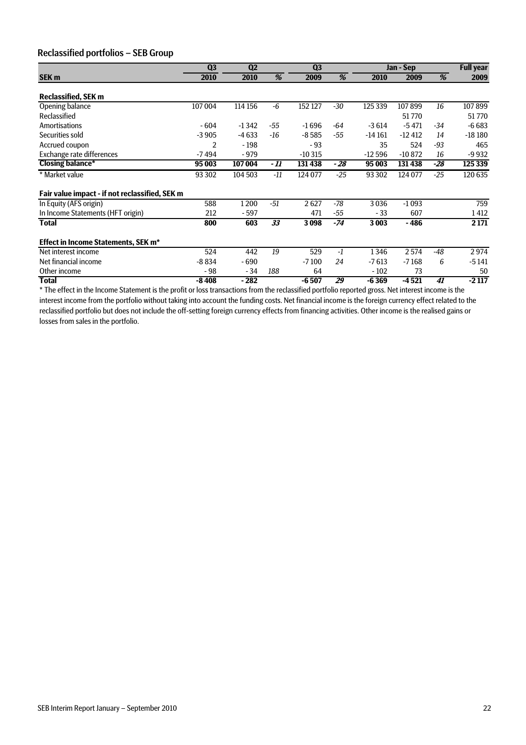### Reclassified portfolios – SEB Group

|                                                | Q <sub>3</sub> | Q <sub>2</sub> |       | Q <sub>3</sub> |       |          | Jan - Sep  |       | <b>Full year</b> |
|------------------------------------------------|----------------|----------------|-------|----------------|-------|----------|------------|-------|------------------|
| <b>SEK m</b>                                   | 2010           | 2010           | %     | 2009           | %     | 2010     | 2009       | %     | 2009             |
| <b>Reclassified, SEK m</b>                     |                |                |       |                |       |          |            |       |                  |
| Opening balance                                | 107004         | 114 156        | -6    | 152 127        | $-30$ | 125 339  | 107899     | 16    | 107899           |
| Reclassified                                   |                |                |       |                |       |          | 51770      |       | 51770            |
| <b>Amortisations</b>                           | $-604$         | $-1342$        | -55   | $-1696$        | $-64$ | $-3614$  | $-5471$    | $-34$ | $-6683$          |
| Securities sold                                | $-3905$        | $-4633$        | -16   | $-8585$        | $-55$ | $-14161$ | $-12412$   | 14    | $-18180$         |
| Accrued coupon                                 | $\overline{2}$ | $-198$         |       | $-93$          |       | 35       | 524        | $-93$ | 465              |
| Exchange rate differences                      | -7494          | $-979$         |       | $-10315$       |       | $-12596$ | $-10872$   | 16    | -9 9 32          |
| <b>Closing balance*</b>                        | 95 003         | 107 004        | - 11  | 131 438        | - 28  | 95 003   | $131\,438$ | -28   | 125 339          |
| * Market value                                 | 93 30 2        | 104 503        | $-11$ | 124 077        | $-25$ | 93 30 2  | $124\,077$ | $-25$ | 120 635          |
| Fair value impact - if not reclassified, SEK m |                |                |       |                |       |          |            |       |                  |
| In Equity (AFS origin)                         | 588            | 1200           | $-51$ | 2627           | $-78$ | 3036     | $-1093$    |       | 759              |
| In Income Statements (HFT origin)              | 212            | - 597          |       | 471            | -55   | $-33$    | 607        |       | 1412             |
| <b>Total</b>                                   | 800            | 603            | 33    | 3098           | $-74$ | 3003     | $-486$     |       | 2 1 7 1          |
| Effect in Income Statements, SEK m*            |                |                |       |                |       |          |            |       |                  |
| Net interest income                            | 524            | 442            | 19    | 529            | $-1$  | 1346     | 2574       | -48   | 2974             |
| Net financial income                           | $-8834$        | - 690          |       | $-7100$        | 24    | $-7613$  | $-7168$    | 6     | $-5141$          |
| Other income                                   | - 98           | - 34           | 188   | 64             |       | $-102$   | 73         |       | 50               |
| <b>Total</b>                                   | $-8408$        | - 282          |       | $-6507$        | 29    | $-6369$  | $-4521$    | 41    | $-2117$          |

\* The effect in the Income Statement is the profit or loss transactions from the reclassified portfolio reported gross. Net interest income is the interest income from the portfolio without taking into account the funding costs. Net financial income is the foreign currency effect related to the reclassified portfolio but does not include the off-setting foreign currency effects from financing activities. Other income is the realised gains or losses from sales in the portfolio.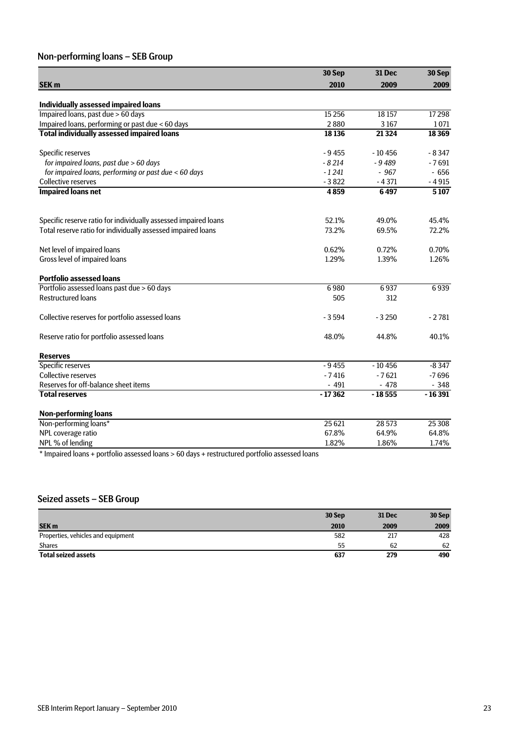# Non-performing loans – SEB Group

|                                                                 | 30 Sep   | <b>31 Dec</b> | 30 Sep   |
|-----------------------------------------------------------------|----------|---------------|----------|
| SEK <sub>m</sub>                                                | 2010     | 2009          | 2009     |
| Individually assessed impaired loans                            |          |               |          |
| Impaired loans, past due > 60 days                              | 15 2 5 6 | 18 157        | 17298    |
| Impaired loans, performing or past due < 60 days                | 2880     | 3167          | 1071     |
| <b>Total individually assessed impaired loans</b>               | 18 13 6  | 21 3 24       | 18 3 69  |
| Specific reserves                                               | $-9455$  | $-10456$      | $-8347$  |
| for impaired loans, past due > 60 days                          | $-8214$  | $-9489$       | $-7691$  |
| for impaired loans, performing or past due < 60 days            | $-1241$  | $-967$        | $-656$   |
| <b>Collective reserves</b>                                      | $-3822$  | $-4371$       | $-4915$  |
| <b>Impaired loans net</b>                                       | 4859     | 6497          | 5107     |
| Specific reserve ratio for individually assessed impaired loans | 52.1%    | 49.0%         | 45.4%    |
| Total reserve ratio for individually assessed impaired loans    | 73.2%    | 69.5%         | 72.2%    |
| Net level of impaired loans                                     | 0.62%    | 0.72%         | 0.70%    |
| Gross level of impaired loans                                   | 1.29%    | 1.39%         | 1.26%    |
| <b>Portfolio assessed loans</b>                                 |          |               |          |
| Portfolio assessed loans past due > 60 days                     | 6980     | 6937          | 6939     |
| <b>Restructured loans</b>                                       | 505      | 312           |          |
| Collective reserves for portfolio assessed loans                | $-3594$  | $-3250$       | $-2781$  |
| Reserve ratio for portfolio assessed loans                      | 48.0%    | 44.8%         | 40.1%    |
| <b>Reserves</b>                                                 |          |               |          |
| <b>Specific reserves</b>                                        | $-9455$  | $-10456$      | $-8347$  |
| <b>Collective reserves</b>                                      | $-7416$  | $-7621$       | $-7696$  |
| Reserves for off-balance sheet items                            | $-491$   | $-478$        | $-348$   |
| <b>Total reserves</b>                                           | $-17362$ | $-18555$      | $-16391$ |
| <b>Non-performing loans</b>                                     |          |               |          |
| Non-performing loans*                                           | 25 6 21  | 28 573        | 25 30 8  |
| NPL coverage ratio                                              | 67.8%    | 64.9%         | 64.8%    |
| NPL % of lending                                                | 1.82%    | 1.86%         | 1.74%    |

\* Impaired loans + portfolio assessed loans > 60 days + restructured portfolio assessed loans

### Seized assets – SEB Group

|                                    | 30 Sep | 31 Dec | 30 Sep |
|------------------------------------|--------|--------|--------|
| <b>SEK m</b>                       | 2010   | 2009   | 2009   |
| Properties, vehicles and equipment | 582    | 217    | 428    |
| <b>Shares</b>                      | 55     | 62     | 62     |
| <b>Total seized assets</b>         | 637    | 279    | 490    |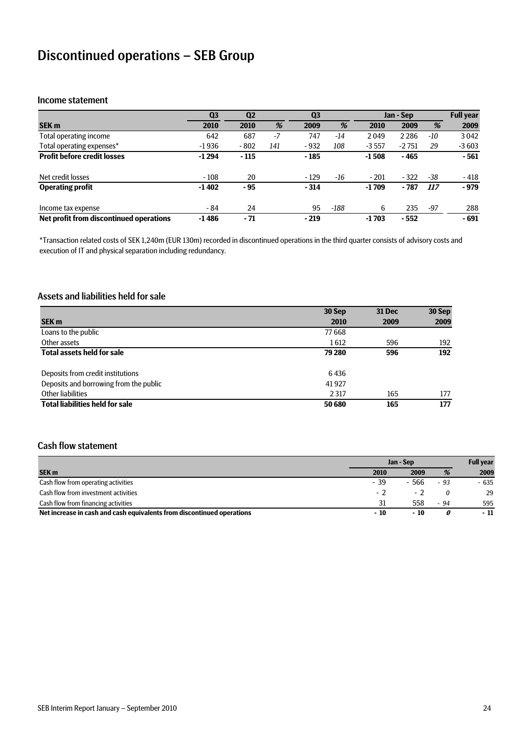# Discontinued operations – SEB Group

#### Income statement

|                                         | Q <sub>3</sub> | Q <sub>2</sub> |      | Q <sub>3</sub> |       |         | Jan - Sep |       | <b>Full year</b> |
|-----------------------------------------|----------------|----------------|------|----------------|-------|---------|-----------|-------|------------------|
| <b>SEK m</b>                            | 2010           | 2010           | %    | 2009           | %     | 2010    | 2009      | %     | 2009             |
| Total operating income                  | 642            | 687            | $-7$ | 747            | $-14$ | 2049    | 2 2 8 6   | $-10$ | 3042             |
| Total operating expenses*               | $-1936$        | $-802$         | 141  | $-932$         | 108   | $-3557$ | $-2751$   | 29    | $-3603$          |
| <b>Profit before credit losses</b>      | $-1294$        | $-115$         |      | $-185$         |       | $-1508$ | - 465     |       | $-561$           |
| Net credit losses                       | $-108$         | 20             |      | $-129$         | -16   | $-201$  | $-322$    | $-38$ | - 418            |
| <b>Operating profit</b>                 | $-1402$        | - 95           |      | $-314$         |       | $-1709$ | $-787$    | 117   | $-979$           |
| Income tax expense                      | - 84           | 24             |      | 95             | -188  | 6       | 235       | -97   | 288              |
| Net profit from discontinued operations | $-1486$        | $-71$          |      | $-219$         |       | $-1703$ | $-552$    |       | $-691$           |

\*Transaction related costs of SEK 1,240m (EUR 130m) recorded in discontinued operations in the third quarter consists of advisory costs and execution of IT and physical separation including redundancy.

### Assets and liabilities held for sale

|                                        | 30 Sep  | 31 Dec | 30 Sep |
|----------------------------------------|---------|--------|--------|
| SEK <sub>m</sub>                       | 2010    | 2009   | 2009   |
| Loans to the public                    | 77668   |        |        |
| Other assets                           | 1612    | 596    | 192    |
| <b>Total assets held for sale</b>      | 79 280  | 596    | 192    |
| Deposits from credit institutions      | 6436    |        |        |
| Deposits and borrowing from the public | 41927   |        |        |
| Other liabilities                      | 2 3 1 7 | 165    | 177    |
| <b>Total liabilities held for sale</b> | 50 680  | 165    | 177    |

#### Cash flow statement

|                                                                        | Jan - Sep |        |       | <b>Full year</b> |
|------------------------------------------------------------------------|-----------|--------|-------|------------------|
| <b>SEK m</b>                                                           | 2010      | 2009   | %     | 2009             |
| Cash flow from operating activities                                    | - 39      | $-566$ | $-93$ | $-635$           |
| Cash flow from investment activities                                   | $-2$      |        |       | 29               |
| Cash flow from financing activities                                    | 31        | 558    | $-94$ | 595              |
| Net increase in cash and cash equivalents from discontinued operations | $-10$     | $-10$  |       | - 11             |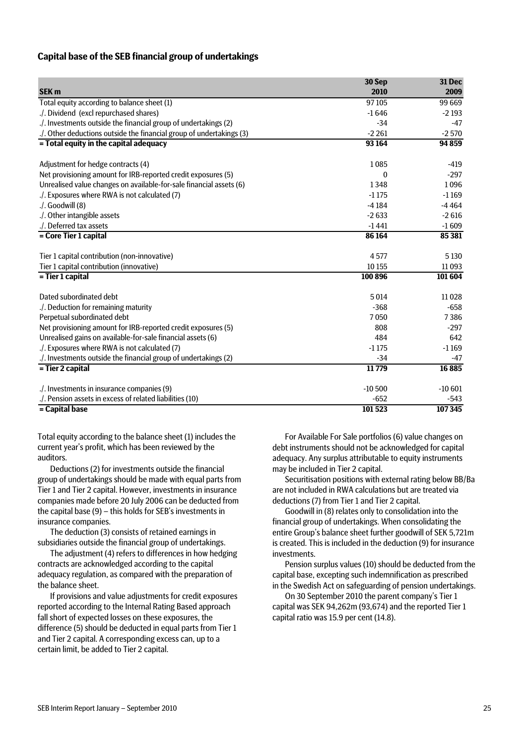#### **Capital base of the SEB financial group of undertakings**

|                                                                      | 30 Sep       | 31 Dec   |
|----------------------------------------------------------------------|--------------|----------|
| <b>SEK m</b>                                                         | 2010         | 2009     |
| Total equity according to balance sheet (1)                          | 97105        | 99 669   |
| ./. Dividend (excl repurchased shares).                              | $-1646$      | $-2193$  |
| ./. Investments outside the financial group of undertakings (2)      | $-34$        | $-47$    |
| ./. Other deductions outside the financial group of undertakings (3) | $-2261$      | $-2570$  |
| = Total equity in the capital adequacy                               | 93 164       | 94859    |
|                                                                      |              |          |
| Adjustment for hedge contracts (4)                                   | 1085         | $-419$   |
| Net provisioning amount for IRB-reported credit exposures (5)        | $\mathbf{0}$ | $-297$   |
| Unrealised value changes on available-for-sale financial assets (6)  | 1348         | 1096     |
| ./. Exposures where RWA is not calculated (7)                        | $-1175$      | $-1169$  |
| ./. Goodwill (8)                                                     | $-4184$      | $-4464$  |
| ./. Other intangible assets                                          | $-2633$      | $-2616$  |
| ./. Deferred tax assets                                              | $-1441$      | $-1609$  |
| = Core Tier 1 capital                                                | 86164        | 85 381   |
| Tier 1 capital contribution (non-innovative)                         | 4577         | 5 1 3 0  |
| Tier 1 capital contribution (innovative)                             | 10 155       | 11093    |
| = Tier 1 capital                                                     | 100 896      | 101 604  |
| Dated subordinated debt                                              | 5014         | 11028    |
| ./. Deduction for remaining maturity                                 | $-368$       | $-658$   |
| Perpetual subordinated debt                                          | 7050         | 7386     |
| Net provisioning amount for IRB-reported credit exposures (5)        | 808          | $-297$   |
| Unrealised gains on available-for-sale financial assets (6)          | 484          | 642      |
| ./. Exposures where RWA is not calculated (7)                        | $-1175$      | $-1169$  |
| ./. Investments outside the financial group of undertakings (2)      | $-34$        | -47      |
| = Tier 2 capital                                                     | 11779        | 16885    |
| ./. Investments in insurance companies (9)                           | $-10500$     | $-10601$ |
| ./. Pension assets in excess of related liabilities (10)             | $-652$       | $-543$   |
| = Capital base                                                       | 101 523      | 107345   |
|                                                                      |              |          |

Total equity according to the balance sheet (1) includes the current year's profit, which has been reviewed by the auditors.

Deductions (2) for investments outside the financial group of undertakings should be made with equal parts from Tier 1 and Tier 2 capital. However, investments in insurance companies made before 20 July 2006 can be deducted from the capital base (9) – this holds for SEB's investments in insurance companies.

The deduction (3) consists of retained earnings in subsidiaries outside the financial group of undertakings.

The adjustment (4) refers to differences in how hedging contracts are acknowledged according to the capital adequacy regulation, as compared with the preparation of the balance sheet.

If provisions and value adjustments for credit exposures reported according to the Internal Rating Based approach fall short of expected losses on these exposures, the difference (5) should be deducted in equal parts from Tier 1 and Tier 2 capital. A corresponding excess can, up to a certain limit, be added to Tier 2 capital.

For Available For Sale portfolios (6) value changes on debt instruments should not be acknowledged for capital adequacy. Any surplus attributable to equity instruments may be included in Tier 2 capital.

Securitisation positions with external rating below BB/Ba are not included in RWA calculations but are treated via deductions (7) from Tier 1 and Tier 2 capital.

Goodwill in (8) relates only to consolidation into the financial group of undertakings. When consolidating the entire Group's balance sheet further goodwill of SEK 5,721m is created. This is included in the deduction (9) for insurance investments.

Pension surplus values (10) should be deducted from the capital base, excepting such indemnification as prescribed in the Swedish Act on safeguarding of pension undertakings.

On 30 September 2010 the parent company's Tier 1 capital was SEK 94,262m (93,674) and the reported Tier 1 capital ratio was 15.9 per cent (14.8).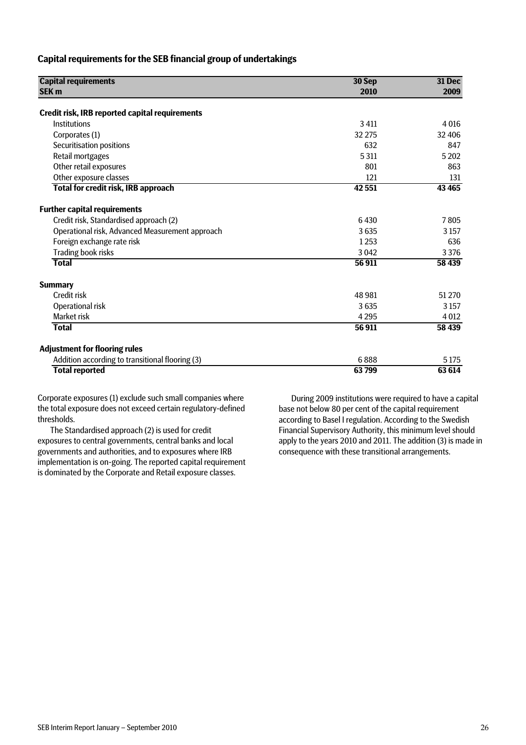#### **Capital requirements for the SEB financial group of undertakings**

| <b>Capital requirements</b>                           | 30 Sep  | 31 Dec<br>2009 |  |
|-------------------------------------------------------|---------|----------------|--|
| <b>SEK m</b>                                          | 2010    |                |  |
| <b>Credit risk, IRB reported capital requirements</b> |         |                |  |
| Institutions                                          | 3 4 11  | 4016           |  |
| Corporates (1)                                        | 32 275  | 32 406         |  |
| Securitisation positions                              | 632     | 847            |  |
| Retail mortgages                                      | 5311    | 5 2 0 2        |  |
| Other retail exposures                                | 801     | 863            |  |
| Other exposure classes                                | 121     | 131            |  |
| Total for credit risk, IRB approach                   | 42 551  | 43 465         |  |
| <b>Further capital requirements</b>                   |         |                |  |
| Credit risk, Standardised approach (2)                | 6430    | 7805           |  |
| Operational risk, Advanced Measurement approach       | 3635    | 3 1 5 7        |  |
| Foreign exchange rate risk                            | 1253    | 636            |  |
| Trading book risks                                    | 3 0 4 2 | 3 3 7 6        |  |
| <b>Total</b>                                          | 56911   | 58 439         |  |
| <b>Summary</b>                                        |         |                |  |
| Credit risk                                           | 48 981  | 51 270         |  |
| Operational risk                                      | 3635    | 3 1 5 7        |  |
| Market risk                                           | 4 2 9 5 | 4 0 12         |  |
| <b>Total</b>                                          | 56911   | 58 439         |  |
| <b>Adjustment for flooring rules</b>                  |         |                |  |
| Addition according to transitional flooring (3)       | 6888    | 5 1 7 5        |  |
| <b>Total reported</b>                                 | 63799   | 63 614         |  |

Corporate exposures (1) exclude such small companies where the total exposure does not exceed certain regulatory-defined thresholds.

The Standardised approach (2) is used for credit exposures to central governments, central banks and local governments and authorities, and to exposures where IRB implementation is on-going. The reported capital requirement is dominated by the Corporate and Retail exposure classes.

During 2009 institutions were required to have a capital base not below 80 per cent of the capital requirement according to Basel I regulation. According to the Swedish Financial Supervisory Authority, this minimum level should apply to the years 2010 and 2011. The addition (3) is made in consequence with these transitional arrangements.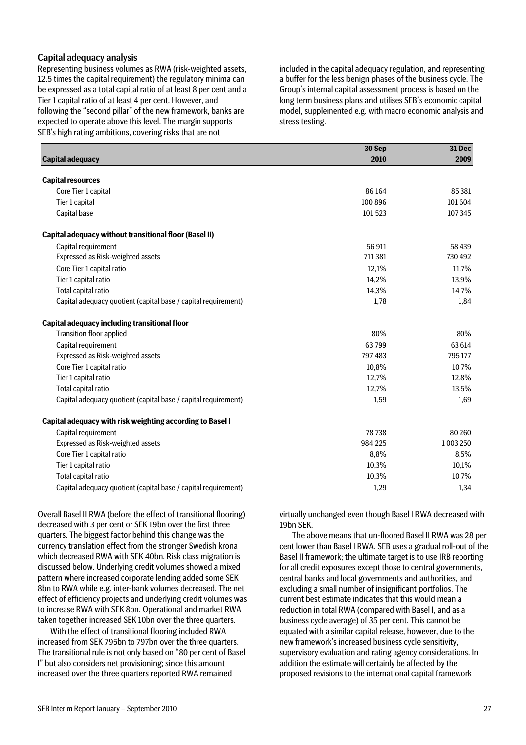#### Capital adequacy analysis

Representing business volumes as RWA (risk-weighted assets, 12.5 times the capital requirement) the regulatory minima can be expressed as a total capital ratio of at least 8 per cent and a Tier 1 capital ratio of at least 4 per cent. However, and following the "second pillar" of the new framework, banks are expected to operate above this level. The margin supports SEB's high rating ambitions, covering risks that are not

included in the capital adequacy regulation, and representing a buffer for the less benign phases of the business cycle. The Group's internal capital assessment process is based on the long term business plans and utilises SEB's economic capital model, supplemented e.g. with macro economic analysis and stress testing.

|                                                                | 30 Sep  | <b>31 Dec</b> |
|----------------------------------------------------------------|---------|---------------|
| <b>Capital adequacy</b>                                        | 2010    | 2009          |
| <b>Capital resources</b>                                       |         |               |
| Core Tier 1 capital                                            | 86 164  | 85 381        |
| Tier 1 capital                                                 | 100 896 | 101 604       |
| Capital base                                                   | 101523  | 107345        |
| Capital adequacy without transitional floor (Basel II)         |         |               |
| Capital requirement                                            | 56 911  | 58 439        |
| Expressed as Risk-weighted assets                              | 711381  | 730 492       |
| Core Tier 1 capital ratio                                      | 12,1%   | 11,7%         |
| Tier 1 capital ratio                                           | 14,2%   | 13,9%         |
| Total capital ratio                                            | 14,3%   | 14,7%         |
| Capital adequacy quotient (capital base / capital requirement) | 1,78    | 1.84          |
| <b>Capital adequacy including transitional floor</b>           |         |               |
| <b>Transition floor applied</b>                                | 80%     | 80%           |
| Capital requirement                                            | 63799   | 63 614        |
| Expressed as Risk-weighted assets                              | 797483  | 795 177       |
| Core Tier 1 capital ratio                                      | 10,8%   | 10,7%         |
| Tier 1 capital ratio                                           | 12,7%   | 12,8%         |
| Total capital ratio                                            | 12,7%   | 13,5%         |
| Capital adequacy quotient (capital base / capital requirement) | 1,59    | 1,69          |
| Capital adequacy with risk weighting according to Basel I      |         |               |
| Capital requirement                                            | 78738   | 80 260        |
| Expressed as Risk-weighted assets                              | 984 225 | 1003250       |
| Core Tier 1 capital ratio                                      | 8,8%    | 8,5%          |
| Tier 1 capital ratio                                           | 10,3%   | 10,1%         |
| Total capital ratio                                            | 10,3%   | 10,7%         |
| Capital adequacy quotient (capital base / capital requirement) | 1,29    | 1,34          |

Overall Basel II RWA (before the effect of transitional flooring) decreased with 3 per cent or SEK 19bn over the first three quarters. The biggest factor behind this change was the currency translation effect from the stronger Swedish krona which decreased RWA with SEK 40bn. Risk class migration is discussed below. Underlying credit volumes showed a mixed pattern where increased corporate lending added some SEK 8bn to RWA while e.g. inter-bank volumes decreased. The net effect of efficiency projects and underlying credit volumes was to increase RWA with SEK 8bn. Operational and market RWA taken together increased SEK 10bn over the three quarters.

With the effect of transitional flooring included RWA increased from SEK 795bn to 797bn over the three quarters. The transitional rule is not only based on "80 per cent of Basel I" but also considers net provisioning; since this amount increased over the three quarters reported RWA remained

virtually unchanged even though Basel I RWA decreased with 19bn SEK.

The above means that un-floored Basel II RWA was 28 per cent lower than Basel I RWA. SEB uses a gradual roll-out of the Basel II framework; the ultimate target is to use IRB reporting for all credit exposures except those to central governments, central banks and local governments and authorities, and excluding a small number of insignificant portfolios. The current best estimate indicates that this would mean a reduction in total RWA (compared with Basel I, and as a business cycle average) of 35 per cent. This cannot be equated with a similar capital release, however, due to the new framework's increased business cycle sensitivity, supervisory evaluation and rating agency considerations. In addition the estimate will certainly be affected by the proposed revisions to the international capital framework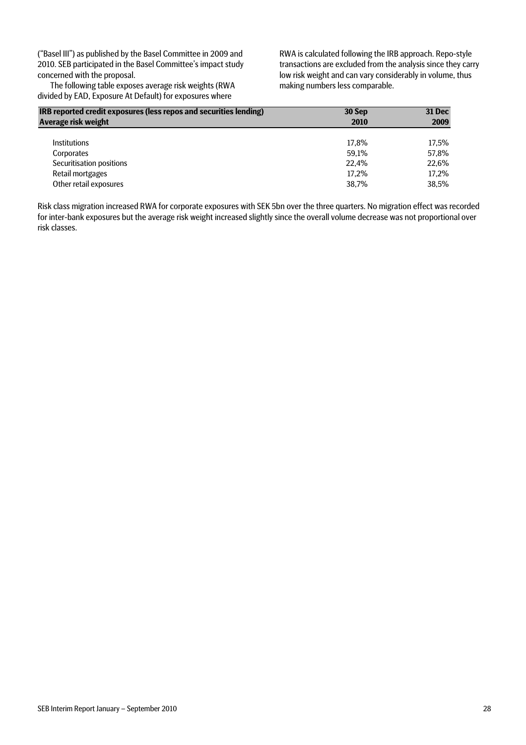("Basel III") as published by the Basel Committee in 2009 and 2010. SEB participated in the Basel Committee's impact study concerned with the proposal.

The following table exposes average risk weights (RWA divided by EAD, Exposure At Default) for exposures where

RWA is calculated following the IRB approach. Repo-style transactions are excluded from the analysis since they carry low risk weight and can vary considerably in volume, thus making numbers less comparable.

| IRB reported credit exposures (less repos and securities lending) | 30 Sep | 31 Dec |
|-------------------------------------------------------------------|--------|--------|
| Average risk weight                                               | 2010   | 2009   |
|                                                                   |        |        |
| <b>Institutions</b>                                               | 17.8%  | 17.5%  |
| Corporates                                                        | 59.1%  | 57.8%  |
| Securitisation positions                                          | 22.4%  | 22.6%  |
| Retail mortgages                                                  | 17.2%  | 17,2%  |
| Other retail exposures                                            | 38.7%  | 38.5%  |

Risk class migration increased RWA for corporate exposures with SEK 5bn over the three quarters. No migration effect was recorded for inter-bank exposures but the average risk weight increased slightly since the overall volume decrease was not proportional over risk classes.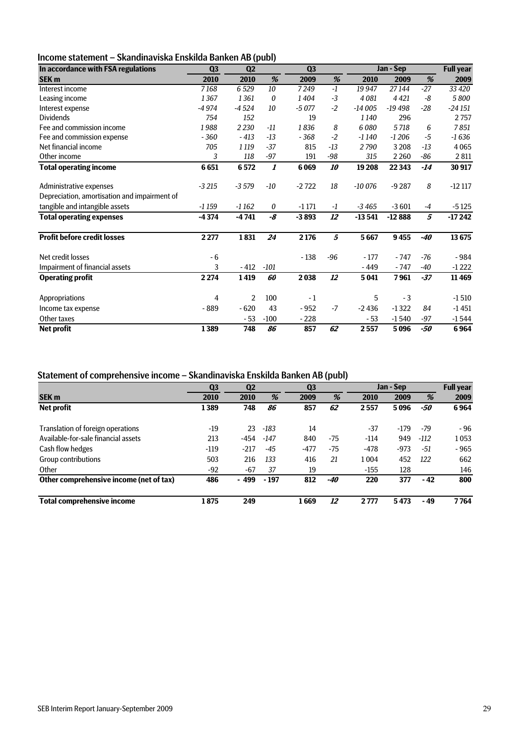# Income statement – Skandinaviska Enskilda Banken AB (publ)

| In accordance with FSA regulations           | Q <sub>3</sub> | Q2             |                  | Q3      |       |           | Jan - Sep |       | <b>Full year</b> |
|----------------------------------------------|----------------|----------------|------------------|---------|-------|-----------|-----------|-------|------------------|
| <b>SEK m</b>                                 | 2010           | 2010           | %                | 2009    | %     | 2010      | 2009      | %     | 2009             |
| Interest income                              | 7168           | 6529           | 10               | 7249    | $-1$  | 19 9 47   | 27144     | $-27$ | 33 4 20          |
| Leasing income                               | 1367           | 1361           | 0                | 1404    | $-3$  | 4081      | 4 4 2 1   | -8    | 5800             |
| Interest expense                             | $-4974$        | $-4524$        | 10               | $-5077$ | $-2$  | $-14005$  | $-19498$  | $-28$ | $-24151$         |
| <b>Dividends</b>                             | 754            | 152            |                  | 19      |       | 1140      | 296       |       | 2757             |
| Fee and commission income                    | 1988           | 2 2 3 0        | $-11$            | 1836    | 8     | 6080      | 5718      | 6     | 7851             |
| Fee and commission expense                   | $-360$         | $-413$         | $-13$            | $-368$  | $-2$  | $-1140$   | $-1206$   | $-5$  | $-1636$          |
| Net financial income                         | 705            | 1 1 1 9        | $-37$            | 815     | $-13$ | 2790      | 3 2 0 8   | $-13$ | 4065             |
| Other income                                 | 3              | 118            | $-97$            | 191     | -98   | 315       | 2 2 6 0   | $-86$ | 2811             |
| <b>Total operating income</b>                | 6651           | 6572           | $\boldsymbol{l}$ | 6069    | 10    | 19 20 8   | 22 3 43   | $-14$ | 30 917           |
| Administrative expenses                      | $-3215$        | $-3579$        | -10              | $-2722$ | 18    | $-100076$ | $-9287$   | 8     | $-12117$         |
| Depreciation, amortisation and impairment of |                |                |                  |         |       |           |           |       |                  |
| tangible and intangible assets               | $-1159$        | $-1162$        | 0                | $-1171$ | $-1$  | $-3465$   | $-3601$   | $-4$  | $-5125$          |
| <b>Total operating expenses</b>              | $-4374$        | $-4741$        | -8               | $-3893$ | 12    | $-13541$  | $-12888$  | 5     | $-17242$         |
| <b>Profit before credit losses</b>           | 2 2 7 7        | 1831           | 24               | 2 1 7 6 | 5     | 5667      | 9455      | -40   | 13675            |
| Net credit losses                            | $-6$           |                |                  | $-138$  | $-96$ | $-177$    | $-747$    | $-76$ | $-984$           |
| Impairment of financial assets               | 3              | $-412$         | $-101$           |         |       | $-449$    | $-747$    | -40   | $-1222$          |
| <b>Operating profit</b>                      | 2274           | 1419           | 60               | 2038    | 12    | 5 0 41    | 7961      | $-37$ | 11 4 69          |
| Appropriations                               | 4              | $\overline{2}$ | 100              | $-1$    |       | 5         | $-3$      |       | $-1510$          |
| Income tax expense                           | $-889$         | $-620$         | 43               | $-952$  | $-7$  | $-2436$   | $-1322$   | 84    | $-1451$          |
| Other taxes                                  |                | - 53           | $-100$           | $-228$  |       | $-53$     | $-1540$   | -97   | $-1544$          |
| <b>Net profit</b>                            | 1389           | 748            | 86               | 857     | 62    | 2557      | 5096      | -50   | 6964             |

#### Statement of comprehensive income – Skandinaviska Enskilda Banken AB (publ)

|                                         |                |                |        |                | . .   |        |           |        |                  |
|-----------------------------------------|----------------|----------------|--------|----------------|-------|--------|-----------|--------|------------------|
|                                         | Q <sub>3</sub> | Q <sub>2</sub> |        | Q <sub>3</sub> |       |        | Jan - Sep |        | <b>Full year</b> |
| <b>SEK m</b>                            | 2010           | 2010           | %      | 2009           | %     | 2010   | 2009      | %      | 2009             |
| Net profit                              | 1389           | 748            | 86     | 857            | 62    | 2557   | 5096      | -50    | 6964             |
|                                         |                |                |        |                |       |        |           |        |                  |
| Translation of foreign operations       | -19            | 23             | -183   | 14             |       | $-37$  | $-179$    | $-79$  | $-96$            |
| Available-for-sale financial assets     | 213            | -454           | $-147$ | 840            | $-75$ | $-114$ | 949       | $-112$ | 1053             |
| Cash flow hedges                        | $-119$         | $-217$         | $-45$  | $-477$         | -75   | $-478$ | $-973$    | -51    | $-965$           |
| Group contributions                     | 503            | 216            | 133    | 416            | 21    | 1004   | 452       | 122    | 662              |
| Other                                   | -92            | $-67$          | 37     | 19             |       | $-155$ | 128       |        | 146              |
| Other comprehensive income (net of tax) | 486            | - 499          | $-197$ | 812            | -40   | 220    | 377       | $-42$  | 800              |
| <b>Total comprehensive income</b>       | 1875           | 249            |        | 1669           | 12    | 2777   | 5473      | - 49   | 7764             |